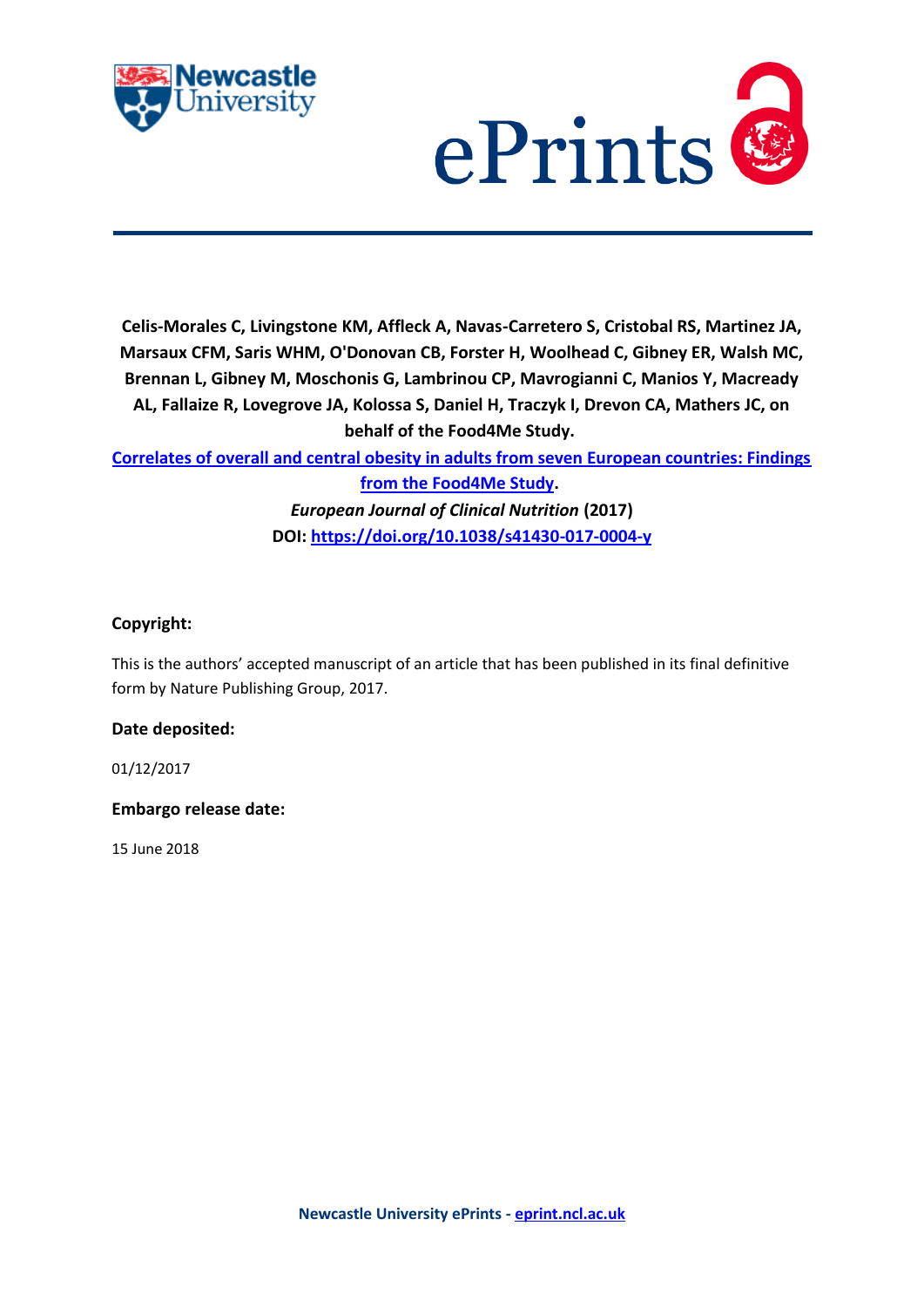



**Celis-Morales C, Livingstone KM, Affleck A, Navas-Carretero S, Cristobal RS, Martinez JA, Marsaux CFM, Saris WHM, O'Donovan CB, Forster H, Woolhead C, Gibney ER, Walsh MC, Brennan L, Gibney M, Moschonis G, Lambrinou CP, Mavrogianni C, Manios Y, Macready AL, Fallaize R, Lovegrove JA, Kolossa S, Daniel H, Traczyk I, Drevon CA, Mathers JC, on behalf of the Food4Me Study.**

**[Correlates of overall and central obesity in adults from seven European countries: Findings](https://myimpact.ncl.ac.uk/ViewPublication.aspx?id=243392)** 

**[from the Food4Me Study.](https://myimpact.ncl.ac.uk/ViewPublication.aspx?id=243392)** *European Journal of Clinical Nutrition* **(2017) DOI:<https://doi.org/10.1038/s41430-017-0004-y>**

# **Copyright:**

This is the authors' accepted manuscript of an article that has been published in its final definitive form by Nature Publishing Group, 2017.

## **Date deposited:**

01/12/2017

## **Embargo release date:**

15 June 2018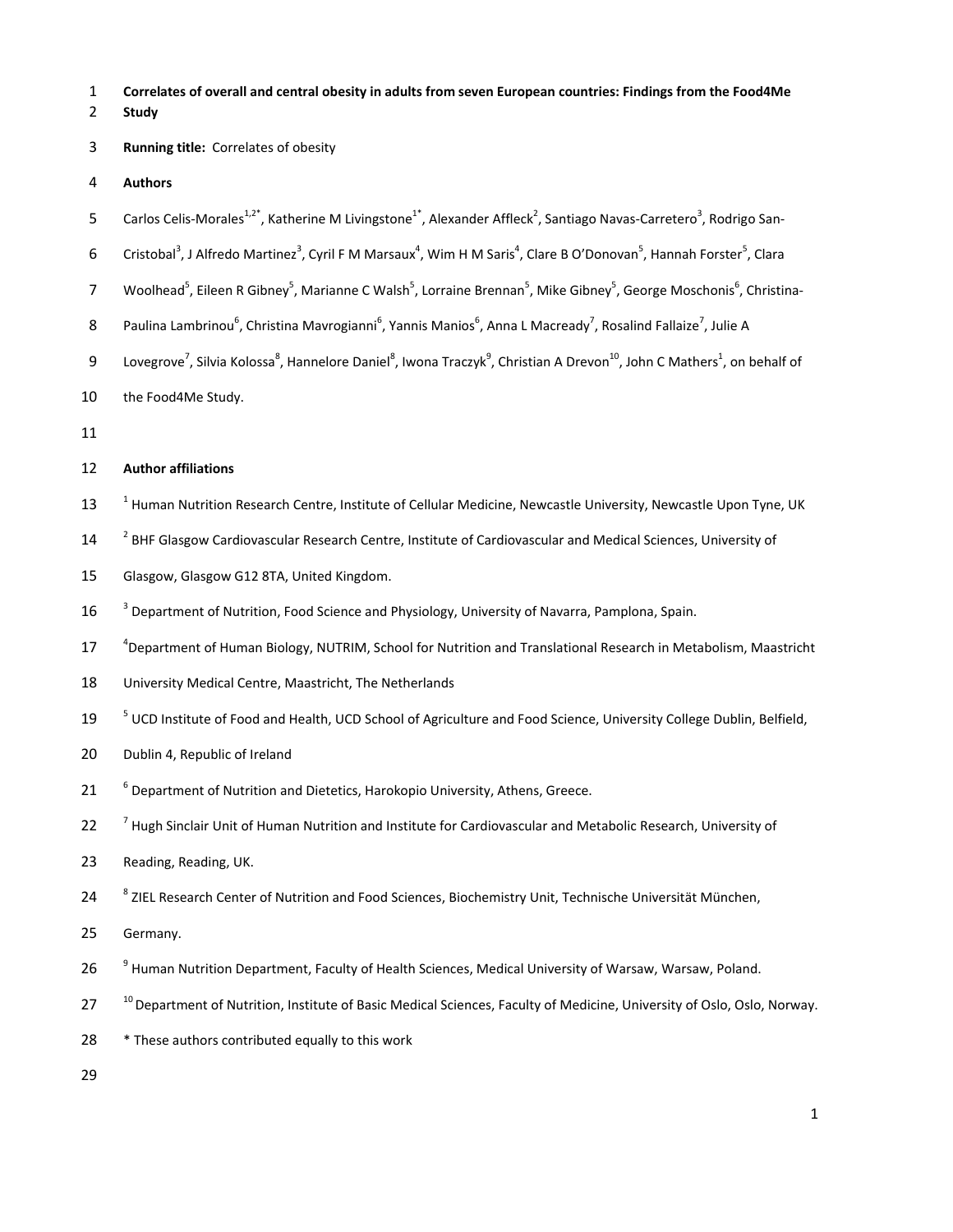- 1 **Correlates of overall and central obesity in adults from seven European countries: Findings from the Food4Me**
- 2 **Study**
- 3 **Running title:** Correlates of obesity
- 4 **Authors**
- 5 Carlos Celis-Morales<sup>1,2\*</sup>, Katherine M Livingstone<sup>1\*</sup>, Alexander Affleck<sup>2</sup>, Santiago Navas-Carretero<sup>3</sup>, Rodrigo San-
- 6 Cristobal<sup>3</sup>, J Alfredo Martinez<sup>3</sup>, Cyril F M Marsaux<sup>4</sup>, Wim H M Saris<sup>4</sup>, Clare B O'Donovan<sup>5</sup>, Hannah Forster<sup>5</sup>, Clara
- 7 Moolhead<sup>5</sup>, Eileen R Gibney<sup>5</sup>, Marianne C Walsh<sup>5</sup>, Lorraine Brennan<sup>5</sup>, Mike Gibney<sup>5</sup>, George Moschonis<sup>6</sup>, Christina-
- 8 Paulina Lambrinou<sup>6</sup>, Christina Mavrogianni<sup>6</sup>, Yannis Manios<sup>6</sup>, Anna L Macready<sup>7</sup>, Rosalind Fallaize<sup>7</sup>, Julie A
- 9 Lovegrove<sup>7</sup>, Silvia Kolossa<sup>8</sup>, Hannelore Daniel<sup>8</sup>, Iwona Traczyk<sup>9</sup>, Christian A Drevon<sup>10</sup>, John C Mathers<sup>1</sup>, on behalf of
- 10 the Food4Me Study.
- 11

#### 12 **Author affiliations**

- 13 <sup>1</sup> Human Nutrition Research Centre, Institute of Cellular Medicine, Newcastle University, Newcastle Upon Tyne, UK
- <sup>2</sup> BHF Glasgow Cardiovascular Research Centre, Institute of Cardiovascular and Medical Sciences, University of
- 15 Glasgow, Glasgow G12 8TA, United Kingdom.
- <sup>3</sup> Department of Nutrition, Food Science and Physiology, University of Navarra, Pamplona, Spain.
- 17 <sup>4</sup> Department of Human Biology, NUTRIM, School for Nutrition and Translational Research in Metabolism, Maastricht
- 18 University Medical Centre, Maastricht, The Netherlands
- <sup>5</sup> UCD Institute of Food and Health, UCD School of Agriculture and Food Science, University College Dublin, Belfield,
- 20 Dublin 4, Republic of Ireland
- <sup>6</sup> Department of Nutrition and Dietetics, Harokopio University, Athens, Greece.
- <sup>7</sup> Hugh Sinclair Unit of Human Nutrition and Institute for Cardiovascular and Metabolic Research, University of
- 23 Reading, Reading, UK.
- 8 2IEL Research Center of Nutrition and Food Sciences, Biochemistry Unit, Technische Universität München,
- 25 Germany.
- <sup>9</sup> Human Nutrition Department, Faculty of Health Sciences, Medical University of Warsaw, Warsaw, Poland.
- 27 <sup>10</sup> Department of Nutrition, Institute of Basic Medical Sciences, Faculty of Medicine, University of Oslo, Oslo, Norway.
- 28 \* These authors contributed equally to this work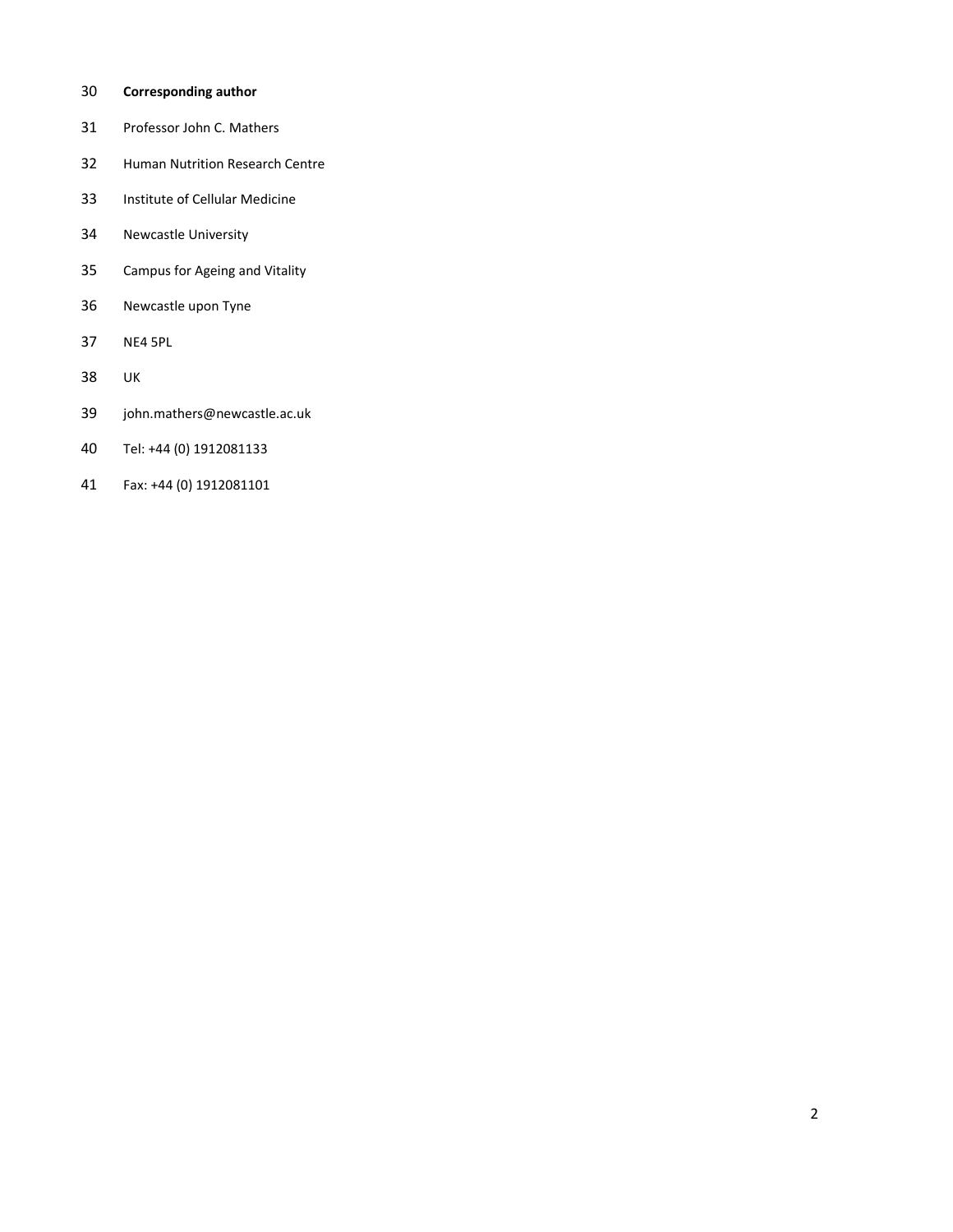## 30 **Corresponding author**

- 31 Professor John C. Mathers
- 32 Human Nutrition Research Centre
- 33 Institute of Cellular Medicine
- 34 Newcastle University
- 35 Campus for Ageing and Vitality
- 36 Newcastle upon Tyne
- 37 NE4 5PL
- 38 UK
- 39 john.mathers@newcastle.ac.uk
- 40 Tel: +44 (0) 1912081133
- 41 Fax: +44 (0) 1912081101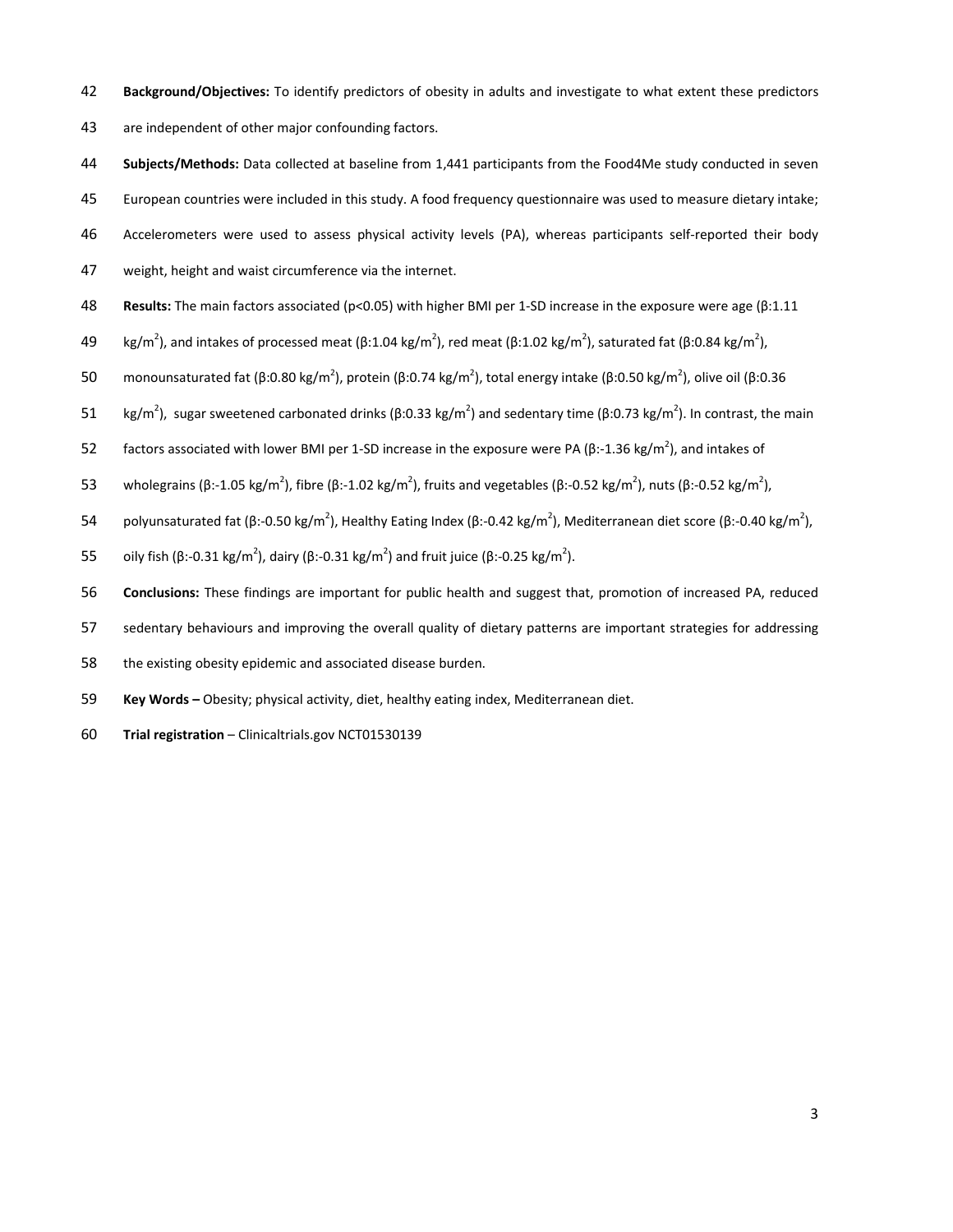- 42 **Background/Objectives:** To identify predictors of obesity in adults and investigate to what extent these predictors
- 43 are independent of other major confounding factors.
- 44 **Subjects/Methods:** Data collected at baseline from 1,441 participants from the Food4Me study conducted in seven
- 45 European countries were included in this study. A food frequency questionnaire was used to measure dietary intake;
- 46 Accelerometers were used to assess physical activity levels (PA), whereas participants self-reported their body
- 47 weight, height and waist circumference via the internet.
- 48 **Results:** The main factors associated (p<0.05) with higher BMI per 1-SD increase in the exposure were age (β:1.11
- 49 kg/m<sup>2</sup>), and intakes of processed meat (β:1.04 kg/m<sup>2</sup>), red meat (β:1.02 kg/m<sup>2</sup>), saturated fat (β:0.84 kg/m<sup>2</sup>),
- 50 monounsaturated fat (β:0.80 kg/m<sup>2</sup>), protein (β:0.74 kg/m<sup>2</sup>), total energy intake (β:0.50 kg/m<sup>2</sup>), olive oil (β:0.36
- 51 kg/m<sup>2</sup>), sugar sweetened carbonated drinks (β:0.33 kg/m<sup>2</sup>) and sedentary time (β:0.73 kg/m<sup>2</sup>). In contrast, the main
- factors associated with lower BMI per 1-SD increase in the exposure were PA (β:-1.36 kg/m<sup>2</sup>), and intakes of
- 53 wholegrains (β:-1.05 kg/m<sup>2</sup>), fibre (β:-1.02 kg/m<sup>2</sup>), fruits and vegetables (β:-0.52 kg/m<sup>2</sup>), nuts (β:-0.52 kg/m<sup>2</sup>),
- 54 polyunsaturated fat (β:-0.50 kg/m<sup>2</sup>), Healthy Eating Index (β:-0.42 kg/m<sup>2</sup>), Mediterranean diet score (β:-0.40 kg/m<sup>2</sup>),
- 55 oily fish (β:-0.31 kg/m<sup>2</sup>), dairy (β:-0.31 kg/m<sup>2</sup>) and fruit juice (β:-0.25 kg/m<sup>2</sup>).
- 56 **Conclusions:** These findings are important for public health and suggest that, promotion of increased PA, reduced
- 57 sedentary behaviours and improving the overall quality of dietary patterns are important strategies for addressing
- 58 the existing obesity epidemic and associated disease burden.
- 59 **Key Words –** Obesity; physical activity, diet, healthy eating index, Mediterranean diet.
- 60 **Trial registration** Clinicaltrials.gov NCT01530139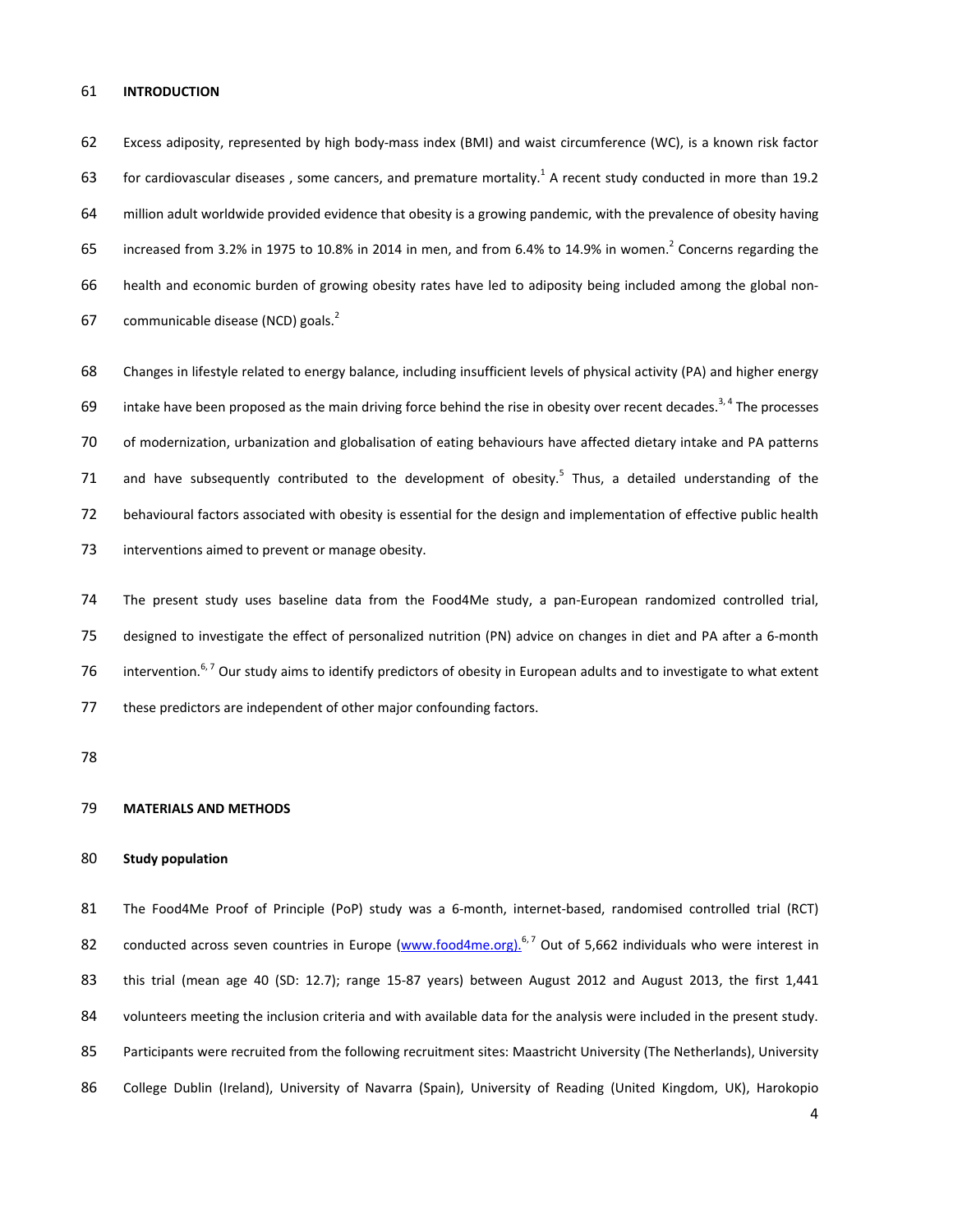#### 61 **INTRODUCTION**

62 Excess adiposity, represented by high body-mass index (BMI) and waist circumference (WC), is a known risk factor 63 for cardiovascular diseases, some cancers, and premature mortality.<sup>1</sup> A recent study conducted in more than 19.2 64 million adult worldwide provided evidence that obesity is a growing pandemic, with the prevalence of obesity having 65 increased from 3.2% in 1975 to 10.8% in 2014 in men, and from 6.4% to 14.9% in women.<sup>2</sup> Concerns regarding the 66 health and economic burden of growing obesity rates have led to adiposity being included among the global non-67 communicable disease (NCD) goals. $<sup>2</sup>$ </sup>

68 Changes in lifestyle related to energy balance, including insufficient levels of physical activity (PA) and higher energy 69 intake have been proposed as the main driving force behind the rise in obesity over recent decades.<sup>3,4</sup> The processes 70 of modernization, urbanization and globalisation of eating behaviours have affected dietary intake and PA patterns 71 and have subsequently contributed to the development of obesity.<sup>5</sup> Thus, a detailed understanding of the 72 behavioural factors associated with obesity is essential for the design and implementation of effective public health 73 interventions aimed to prevent or manage obesity.

74 The present study uses baseline data from the Food4Me study, a pan-European randomized controlled trial, 75 designed to investigate the effect of personalized nutrition (PN) advice on changes in diet and PA after a 6-month 76 intervention.<sup>6, 7</sup> Our study aims to identify predictors of obesity in European adults and to investigate to what extent 77 these predictors are independent of other major confounding factors.

78

#### 79 **MATERIALS AND METHODS**

#### 80 **Study population**

81 The Food4Me Proof of Principle (PoP) study was a 6-month, internet-based, randomised controlled trial (RCT) 82 conducted across seven countries in Europe (www.food4me.org).<sup>6,7</sup> Out of 5,662 individuals who were interest in 83 this trial (mean age 40 (SD: 12.7); range 15-87 years) between August 2012 and August 2013, the first 1,441 84 volunteers meeting the inclusion criteria and with available data for the analysis were included in the present study. 85 Participants were recruited from the following recruitment sites: Maastricht University (The Netherlands), University 86 College Dublin (Ireland), University of Navarra (Spain), University of Reading (United Kingdom, UK), Harokopio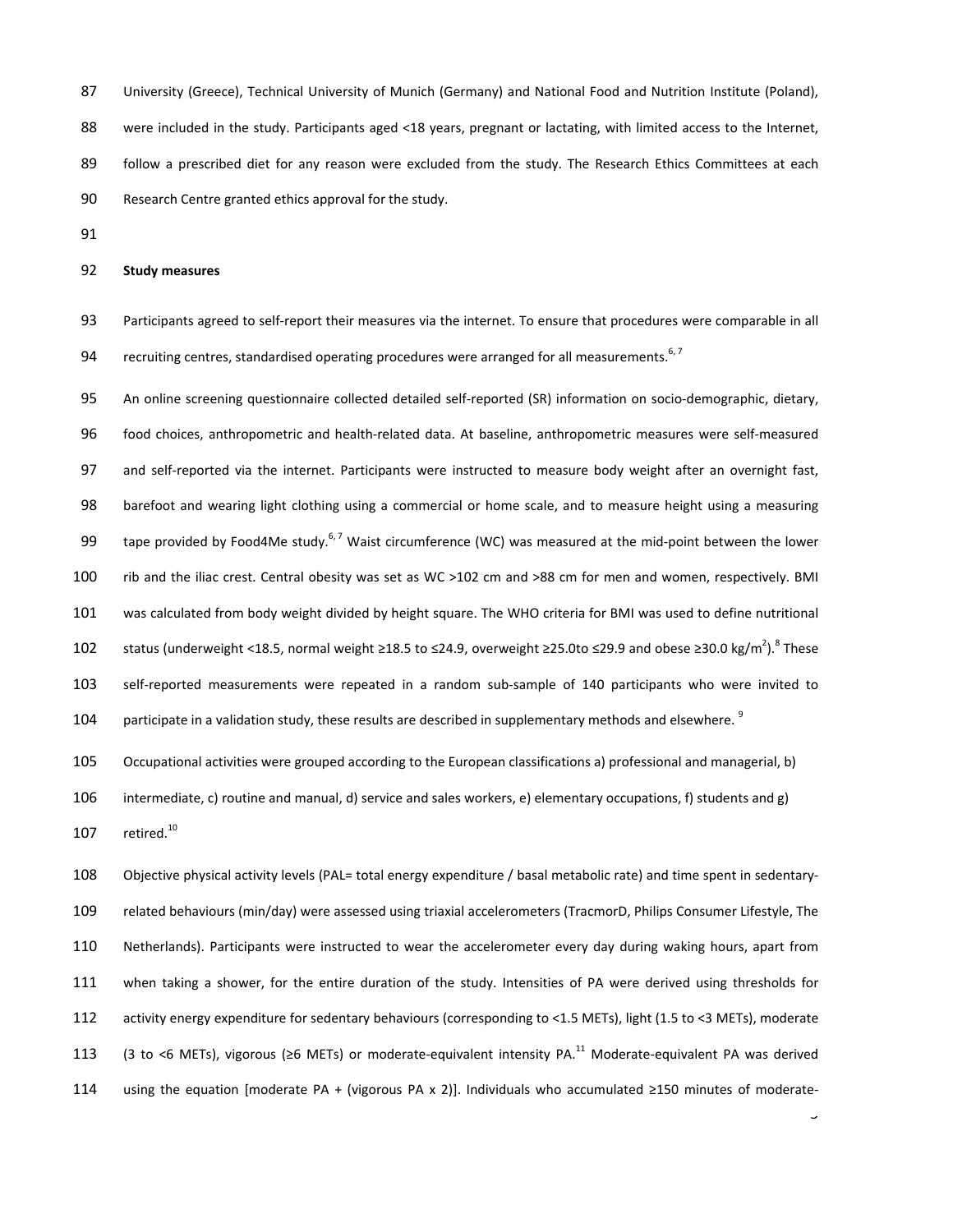87 University (Greece), Technical University of Munich (Germany) and National Food and Nutrition Institute (Poland), 88 were included in the study. Participants aged <18 years, pregnant or lactating, with limited access to the Internet, 89 follow a prescribed diet for any reason were excluded from the study. The Research Ethics Committees at each 90 Research Centre granted ethics approval for the study.

91

#### 92 **Study measures**

93 Participants agreed to self-report their measures via the internet. To ensure that procedures were comparable in all 94 recruiting centres, standardised operating procedures were arranged for all measurements.<sup>6, 7</sup>

95 An online screening questionnaire collected detailed self-reported (SR) information on socio-demographic, dietary, 96 food choices, anthropometric and health-related data. At baseline, anthropometric measures were self-measured 97 and self-reported via the internet. Participants were instructed to measure body weight after an overnight fast, 98 barefoot and wearing light clothing using a commercial or home scale, and to measure height using a measuring 99 tape provided by Food4Me study.<sup>6,7</sup> Waist circumference (WC) was measured at the mid-point between the lower 100 rib and the iliac crest. Central obesity was set as WC >102 cm and >88 cm for men and women, respectively. BMI 101 was calculated from body weight divided by height square. The WHO criteria for BMI was used to define nutritional 102 status (underweight <18.5, normal weight ≥18.5 to ≤24.9, overweight ≥25.0to ≤29.9 and obese ≥30.0 kg/m<sup>2</sup>). <sup>8</sup> These 103 self-reported measurements were repeated in a random sub-sample of 140 participants who were invited to 104 participate in a validation study, these results are described in supplementary methods and elsewhere.<sup>9</sup>

105 Occupational activities were grouped according to the European classifications a) professional and managerial, b)

106 intermediate, c) routine and manual, d) service and sales workers, e) elementary occupations, f) students and g) 107  $retired.<sup>10</sup>$ 

108 Objective physical activity levels (PAL= total energy expenditure / basal metabolic rate) and time spent in sedentary-109 related behaviours (min/day) were assessed using triaxial accelerometers (TracmorD, Philips Consumer Lifestyle, The 110 Netherlands). Participants were instructed to wear the accelerometer every day during waking hours, apart from 111 when taking a shower, for the entire duration of the study. Intensities of PA were derived using thresholds for 112 activity energy expenditure for sedentary behaviours (corresponding to <1.5 METs), light (1.5 to <3 METs), moderate 113 (3 to <6 METs), vigorous (≥6 METs) or moderate-equivalent intensity PA.<sup>11</sup> Moderate-equivalent PA was derived 114 using the equation [moderate PA + (vigorous PA x 2)]. Individuals who accumulated ≥150 minutes of moderate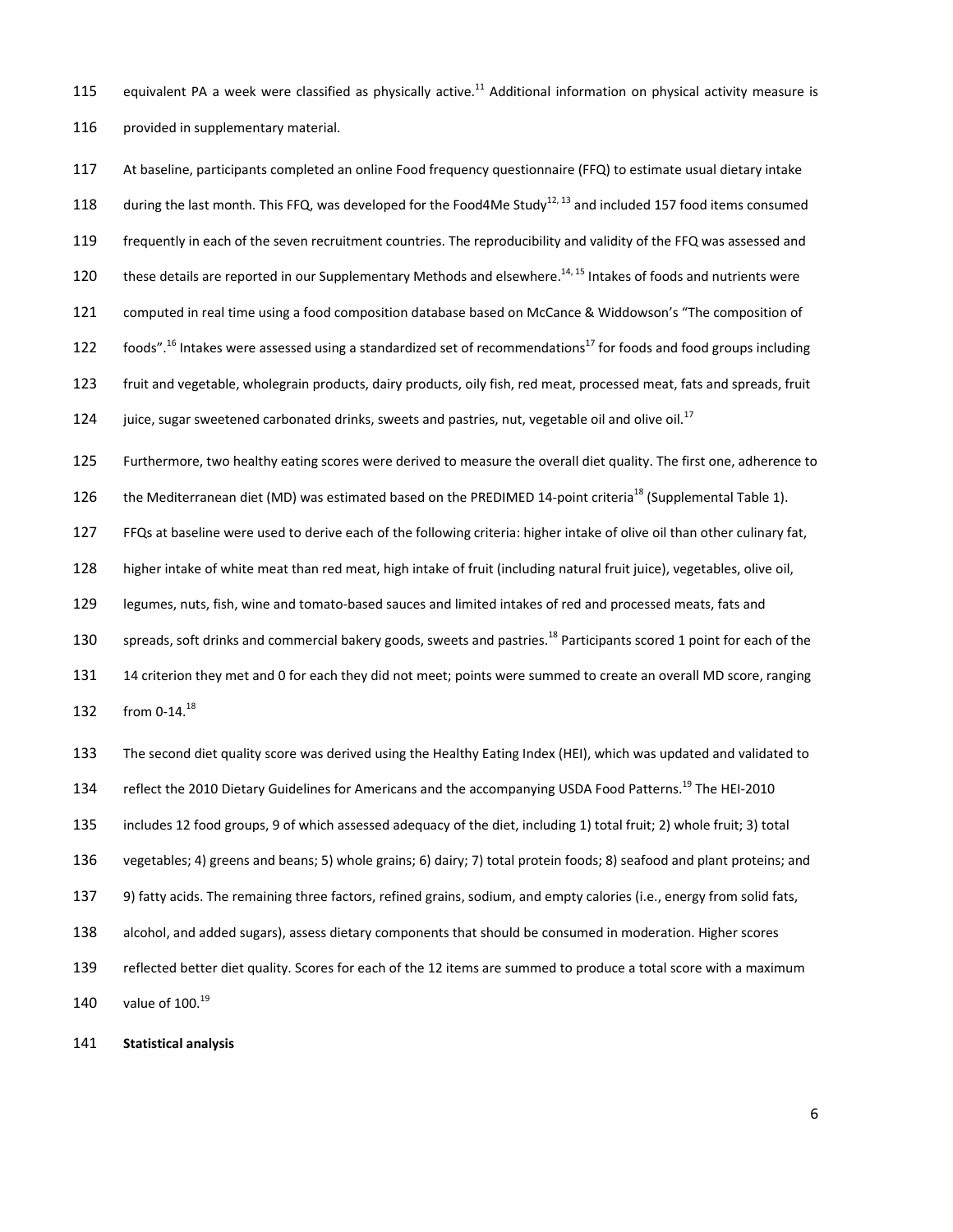115 equivalent PA a week were classified as physically active.<sup>11</sup> Additional information on physical activity measure is 116 provided in supplementary material.

117 At baseline, participants completed an online Food frequency questionnaire (FFQ) to estimate usual dietary intake 118 during the last month. This FFQ, was developed for the Food4Me Study<sup>12, 13</sup> and included 157 food items consumed 119 frequently in each of the seven recruitment countries. The reproducibility and validity of the FFQ was assessed and 120 these details are reported in our Supplementary Methods and elsewhere.<sup>14, 15</sup> Intakes of foods and nutrients were 121 computed in real time using a food composition database based on McCance & Widdowson's "The composition of 122 foods".<sup>16</sup> Intakes were assessed using a standardized set of recommendations<sup>17</sup> for foods and food groups including 123 fruit and vegetable, wholegrain products, dairy products, oily fish, red meat, processed meat, fats and spreads, fruit 124 juice, sugar sweetened carbonated drinks, sweets and pastries, nut, vegetable oil and olive oil.<sup>17</sup>

125 Furthermore, two healthy eating scores were derived to measure the overall diet quality. The first one, adherence to

126 the Mediterranean diet (MD) was estimated based on the PREDIMED 14-point criteria<sup>18</sup> (Supplemental Table 1).

127 FFQs at baseline were used to derive each of the following criteria: higher intake of olive oil than other culinary fat,

128 higher intake of white meat than red meat, high intake of fruit (including natural fruit juice), vegetables, olive oil,

129 legumes, nuts, fish, wine and tomato-based sauces and limited intakes of red and processed meats, fats and

130 spreads, soft drinks and commercial bakery goods, sweets and pastries.<sup>18</sup> Participants scored 1 point for each of the

131 14 criterion they met and 0 for each they did not meet; points were summed to create an overall MD score, ranging 132 from 0-14.<sup>18</sup>

133 The second diet quality score was derived using the Healthy Eating Index (HEI), which was updated and validated to 134 reflect the 2010 Dietary Guidelines for Americans and the accompanying USDA Food Patterns.<sup>19</sup> The HEI-2010 135 includes 12 food groups, 9 of which assessed adequacy of the diet, including 1) total fruit; 2) whole fruit; 3) total 136 vegetables; 4) greens and beans; 5) whole grains; 6) dairy; 7) total protein foods; 8) seafood and plant proteins; and 137 9) fatty acids. The remaining three factors, refined grains, sodium, and empty calories (i.e., energy from solid fats, 138 alcohol, and added sugars), assess dietary components that should be consumed in moderation. Higher scores 139 reflected better diet quality. Scores for each of the 12 items are summed to produce a total score with a maximum 140 value of  $100.<sup>19</sup>$ 

141 **Statistical analysis**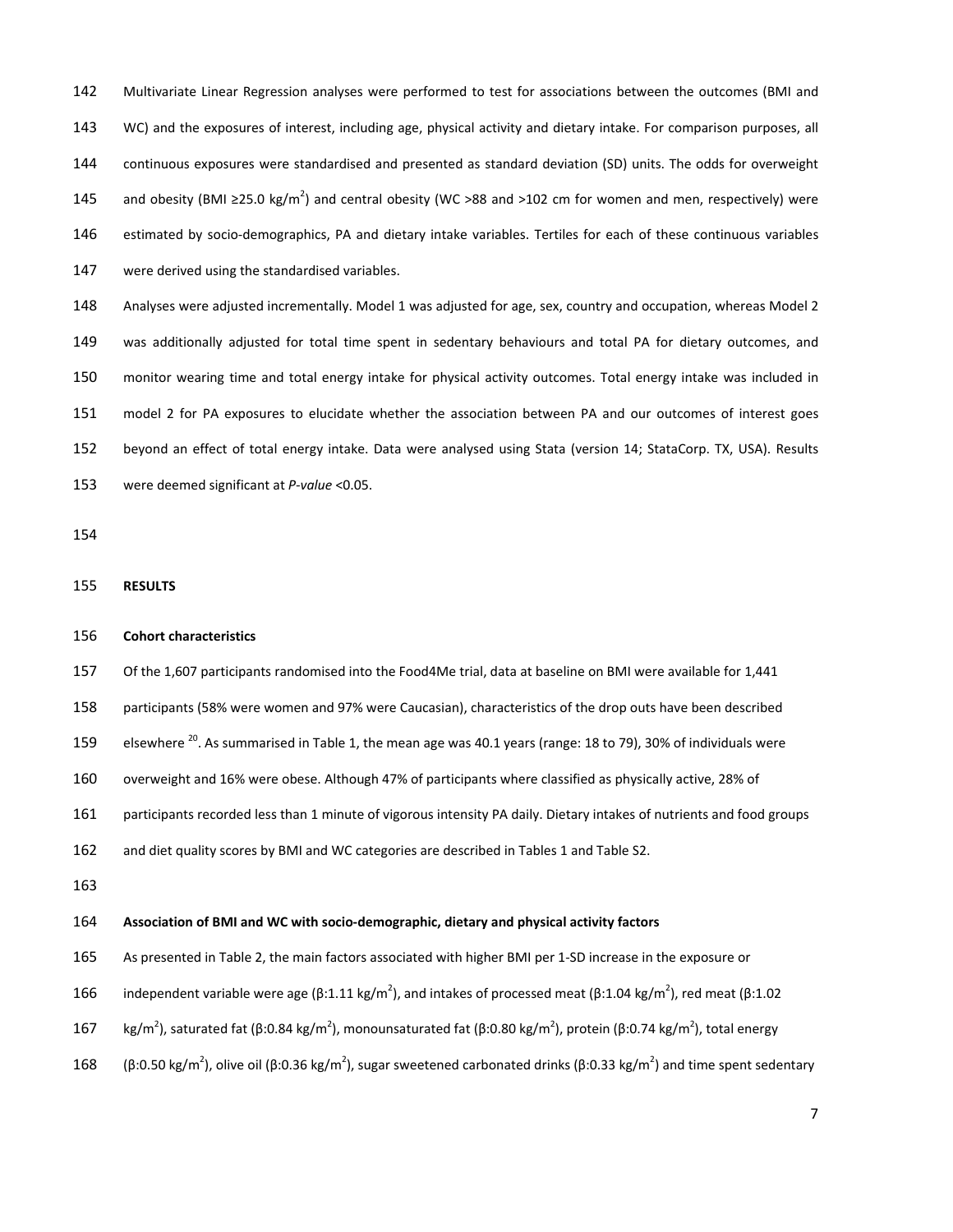142 Multivariate Linear Regression analyses were performed to test for associations between the outcomes (BMI and 143 WC) and the exposures of interest, including age, physical activity and dietary intake. For comparison purposes, all 144 continuous exposures were standardised and presented as standard deviation (SD) units. The odds for overweight 145 and obesity (BMI ≥25.0 kg/m<sup>2</sup>) and central obesity (WC >88 and >102 cm for women and men, respectively) were 146 estimated by socio-demographics, PA and dietary intake variables. Tertiles for each of these continuous variables 147 were derived using the standardised variables.

148 Analyses were adjusted incrementally. Model 1 was adjusted for age, sex, country and occupation, whereas Model 2 149 was additionally adjusted for total time spent in sedentary behaviours and total PA for dietary outcomes, and 150 monitor wearing time and total energy intake for physical activity outcomes. Total energy intake was included in 151 model 2 for PA exposures to elucidate whether the association between PA and our outcomes of interest goes 152 beyond an effect of total energy intake. Data were analysed using Stata (version 14; StataCorp. TX, USA). Results 153 were deemed significant at *P-value* <0.05.

154

155 **RESULTS** 

#### 156 **Cohort characteristics**

157 Of the 1,607 participants randomised into the Food4Me trial, data at baseline on BMI were available for 1,441

158 participants (58% were women and 97% were Caucasian), characteristics of the drop outs have been described

159 elsewhere <sup>20</sup>. As summarised in Table 1, the mean age was 40.1 years (range: 18 to 79), 30% of individuals were

160 overweight and 16% were obese. Although 47% of participants where classified as physically active, 28% of

161 participants recorded less than 1 minute of vigorous intensity PA daily. Dietary intakes of nutrients and food groups

162 and diet quality scores by BMI and WC categories are described in Tables 1 and Table S2.

163

#### 164 **Association of BMI and WC with socio-demographic, dietary and physical activity factors**

165 As presented in Table 2, the main factors associated with higher BMI per 1-SD increase in the exposure or

- 166 independent variable were age (β:1.11 kg/m<sup>2</sup>), and intakes of processed meat (β:1.04 kg/m<sup>2</sup>), red meat (β:1.02
- 167 kg/m<sup>2</sup>), saturated fat (β:0.84 kg/m<sup>2</sup>), monounsaturated fat (β:0.80 kg/m<sup>2</sup>), protein (β:0.74 kg/m<sup>2</sup>), total energy
- 168 (β:0.50 kg/m<sup>2</sup>), olive oil (β:0.36 kg/m<sup>2</sup>), sugar sweetened carbonated drinks (β:0.33 kg/m<sup>2</sup>) and time spent sedentary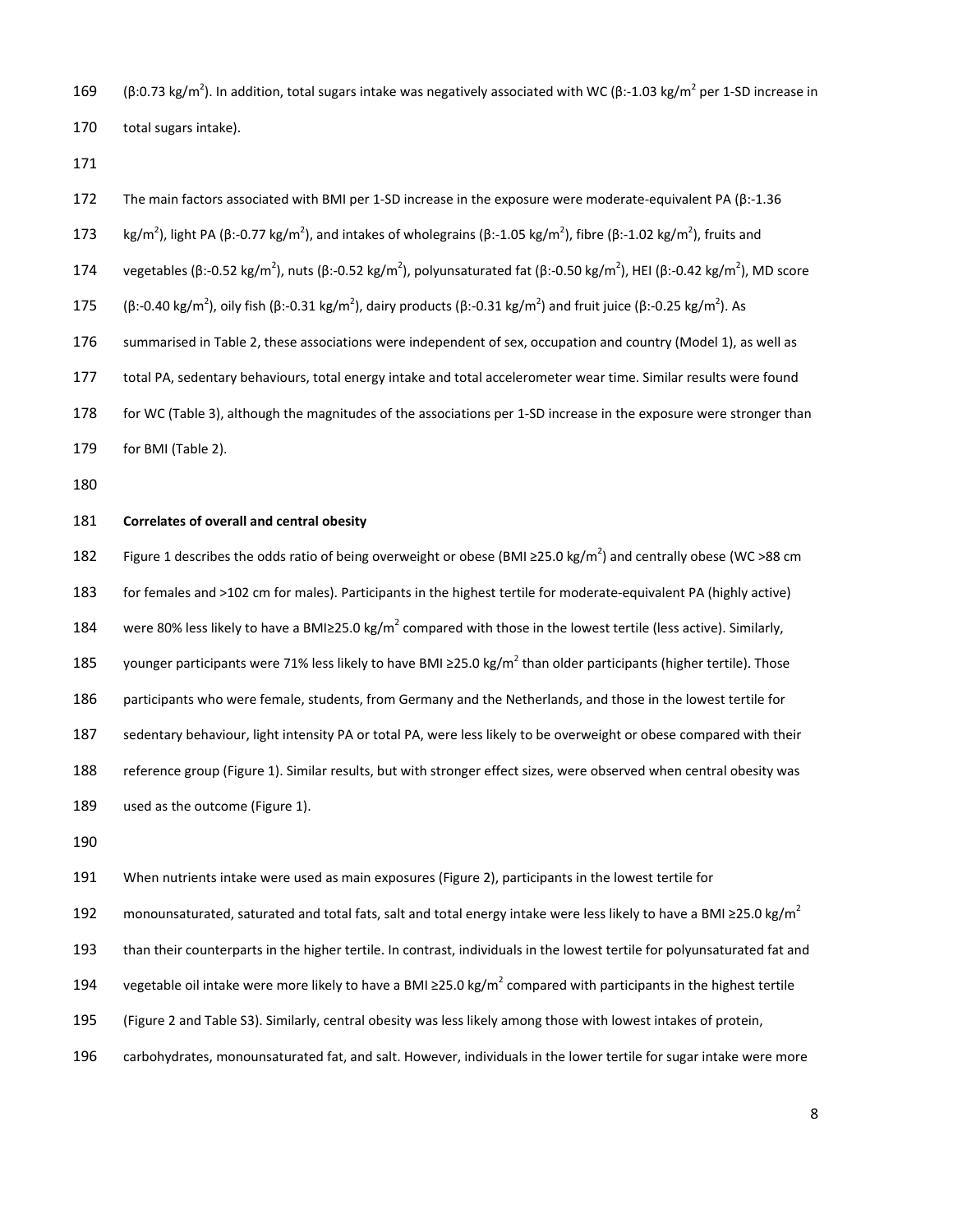169 (β:0.73 kg/m<sup>2</sup>). In addition, total sugars intake was negatively associated with WC (β:-1.03 kg/m<sup>2</sup> per 1-SD increase in

170 total sugars intake).

171

| 172 | The main factors associated with BMI per 1-SD increase in the exposure were moderate-equivalent PA ( $\beta$ :-1.36                                                                                      |
|-----|----------------------------------------------------------------------------------------------------------------------------------------------------------------------------------------------------------|
| 173 | kg/m <sup>2</sup> ), light PA ( $\beta$ :-0.77 kg/m <sup>2</sup> ), and intakes of wholegrains ( $\beta$ :-1.05 kg/m <sup>2</sup> ), fibre ( $\beta$ :-1.02 kg/m <sup>2</sup> ), fruits and              |
| 174 | vegetables ( $\beta$ :-0.52 kg/m <sup>2</sup> ), nuts ( $\beta$ :-0.52 kg/m <sup>2</sup> ), polyunsaturated fat ( $\beta$ :-0.50 kg/m <sup>2</sup> ), HEI ( $\beta$ :-0.42 kg/m <sup>2</sup> ), MD score |
| 175 | $(\beta:-0.40 \text{ kg/m}^2)$ , oily fish $(\beta:-0.31 \text{ kg/m}^2)$ , dairy products $(\beta:-0.31 \text{ kg/m}^2)$ and fruit juice $(\beta:-0.25 \text{ kg/m}^2)$ . As                            |
| 176 | summarised in Table 2, these associations were independent of sex, occupation and country (Model 1), as well as                                                                                          |
| 177 | total PA, sedentary behaviours, total energy intake and total accelerometer wear time. Similar results were found                                                                                        |
| 178 | for WC (Table 3), although the magnitudes of the associations per 1-SD increase in the exposure were stronger than                                                                                       |
| 179 | for BMI (Table 2).                                                                                                                                                                                       |
| 180 |                                                                                                                                                                                                          |
| 181 | Correlates of overall and central obesity                                                                                                                                                                |
| 182 | Figure 1 describes the odds ratio of being overweight or obese (BMI $\geq$ 25.0 kg/m <sup>2</sup> ) and centrally obese (WC >88 cm                                                                       |
|     |                                                                                                                                                                                                          |

183 for females and >102 cm for males). Participants in the highest tertile for moderate-equivalent PA (highly active)

184 were 80% less likely to have a BMI≥25.0 kg/m<sup>2</sup> compared with those in the lowest tertile (less active). Similarly,

185 younger participants were 71% less likely to have BMI ≥25.0 kg/m<sup>2</sup> than older participants (higher tertile). Those

186 participants who were female, students, from Germany and the Netherlands, and those in the lowest tertile for

187 sedentary behaviour, light intensity PA or total PA, were less likely to be overweight or obese compared with their

188 reference group (Figure 1). Similar results, but with stronger effect sizes, were observed when central obesity was 189 used as the outcome (Figure 1).

190

191 When nutrients intake were used as main exposures (Figure 2), participants in the lowest tertile for

192 monounsaturated, saturated and total fats, salt and total energy intake were less likely to have a BMI ≥25.0 kg/m<sup>2</sup>

193 than their counterparts in the higher tertile. In contrast, individuals in the lowest tertile for polyunsaturated fat and

194 vegetable oil intake were more likely to have a BMI ≥25.0 kg/m<sup>2</sup> compared with participants in the highest tertile

195 (Figure 2 and Table S3). Similarly, central obesity was less likely among those with lowest intakes of protein,

196 carbohydrates, monounsaturated fat, and salt. However, individuals in the lower tertile for sugar intake were more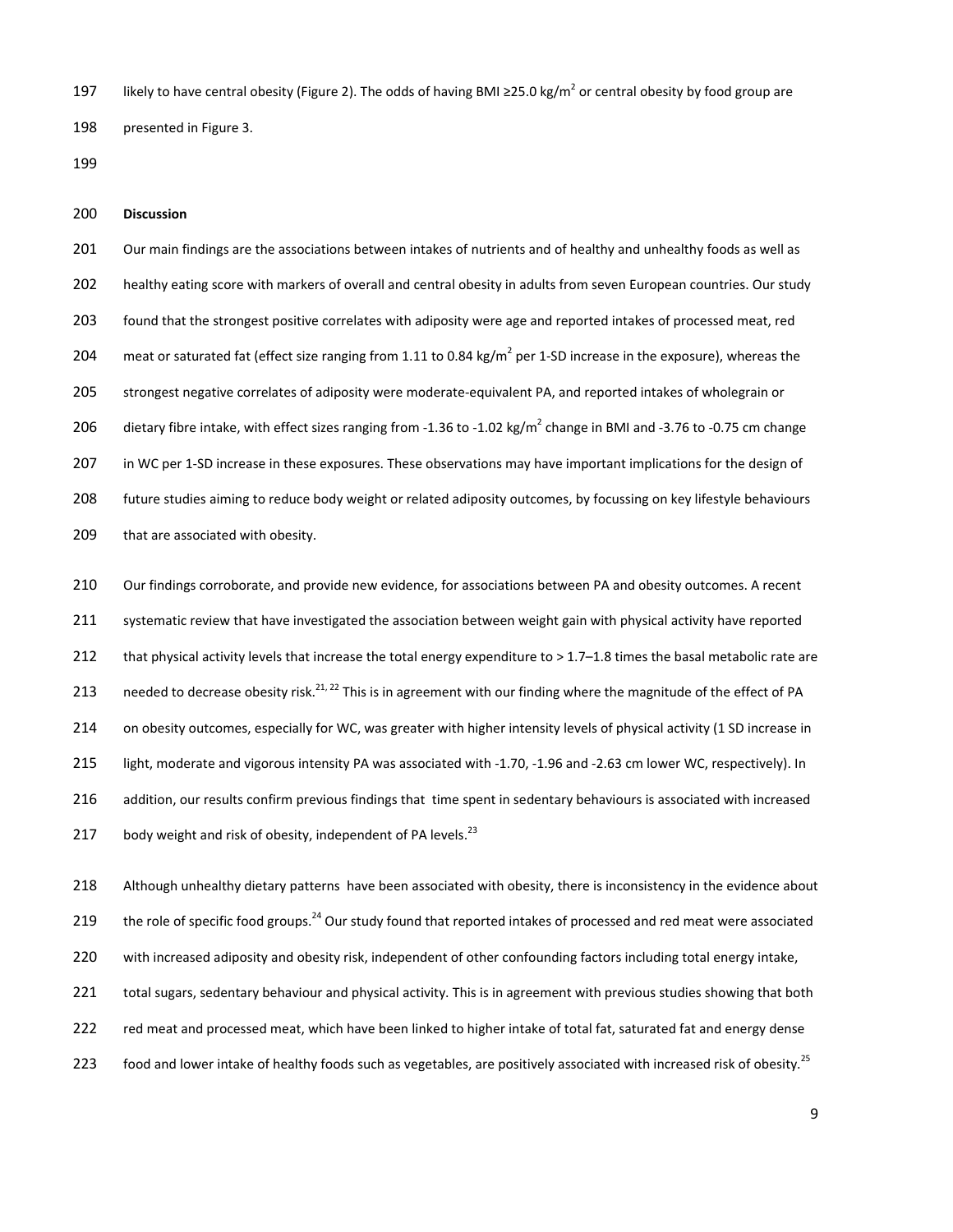197 likely to have central obesity (Figure 2). The odds of having BMI ≥25.0 kg/m<sup>2</sup> or central obesity by food group are 198 presented in Figure 3.

199

#### 200 **Discussion**

201 Our main findings are the associations between intakes of nutrients and of healthy and unhealthy foods as well as 202 healthy eating score with markers of overall and central obesity in adults from seven European countries. Our study 203 found that the strongest positive correlates with adiposity were age and reported intakes of processed meat, red 204 meat or saturated fat (effect size ranging from 1.11 to 0.84 kg/ $m^2$  per 1-SD increase in the exposure), whereas the 205 strongest negative correlates of adiposity were moderate-equivalent PA, and reported intakes of wholegrain or 206 dietary fibre intake, with effect sizes ranging from -1.36 to -1.02 kg/m<sup>2</sup> change in BMI and -3.76 to -0.75 cm change 207 in WC per 1-SD increase in these exposures. These observations may have important implications for the design of 208 future studies aiming to reduce body weight or related adiposity outcomes, by focussing on key lifestyle behaviours 209 that are associated with obesity.

210 Our findings corroborate, and provide new evidence, for associations between PA and obesity outcomes. A recent 211 systematic review that have investigated the association between weight gain with physical activity have reported 212 that physical activity levels that increase the total energy expenditure to  $> 1.7-1.8$  times the basal metabolic rate are 213 needed to decrease obesity risk.<sup>21, 22</sup> This is in agreement with our finding where the magnitude of the effect of PA 214 on obesity outcomes, especially for WC, was greater with higher intensity levels of physical activity (1 SD increase in 215 light, moderate and vigorous intensity PA was associated with -1.70, -1.96 and -2.63 cm lower WC, respectively). In 216 addition, our results confirm previous findings that time spent in sedentary behaviours is associated with increased 217 body weight and risk of obesity, independent of PA levels. $^{23}$ 

218 Although unhealthy dietary patterns have been associated with obesity, there is inconsistency in the evidence about 219 the role of specific food groups.<sup>24</sup> Our study found that reported intakes of processed and red meat were associated 220 with increased adiposity and obesity risk, independent of other confounding factors including total energy intake, 221 total sugars, sedentary behaviour and physical activity. This is in agreement with previous studies showing that both 222 red meat and processed meat, which have been linked to higher intake of total fat, saturated fat and energy dense 123 food and lower intake of healthy foods such as vegetables, are positively associated with increased risk of obesity.<sup>25</sup>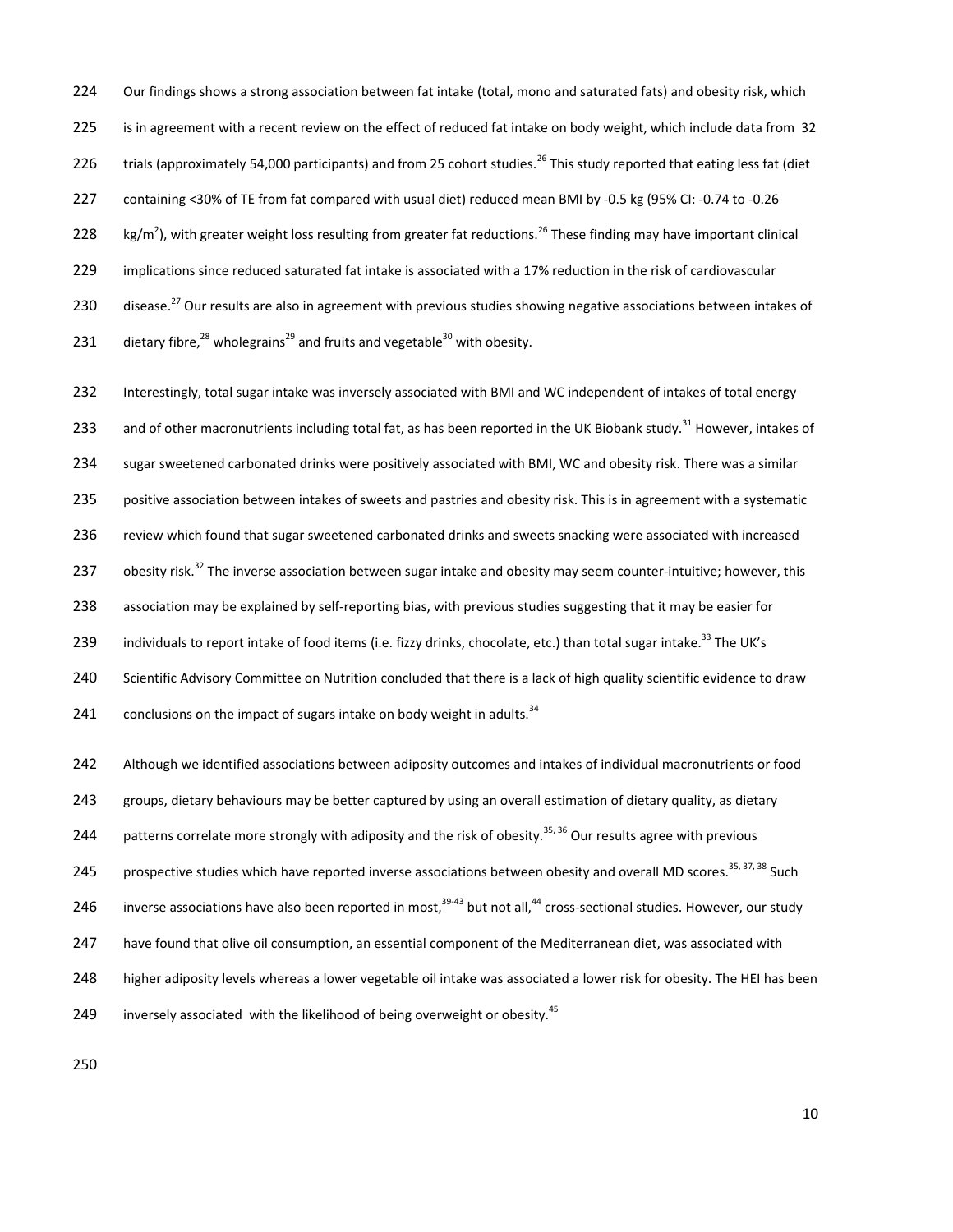224 Our findings shows a strong association between fat intake (total, mono and saturated fats) and obesity risk, which 225 is in agreement with a recent review on the effect of reduced fat intake on body weight, which include data from 32 226 trials (approximately 54,000 participants) and from 25 cohort studies.<sup>26</sup> This study reported that eating less fat (diet 227 containing <30% of TE from fat compared with usual diet) reduced mean BMI by -0.5 kg (95% CI: -0.74 to -0.26 228  $\,$  kg/m<sup>2</sup>), with greater weight loss resulting from greater fat reductions.<sup>26</sup> These finding may have important clinical 229 implications since reduced saturated fat intake is associated with a 17% reduction in the risk of cardiovascular 230 disease.<sup>27</sup> Our results are also in agreement with previous studies showing negative associations between intakes of 231 dietary fibre,  $^{28}$  wholegrains<sup>29</sup> and fruits and vegetable  $^{30}$  with obesity.

232 Interestingly, total sugar intake was inversely associated with BMI and WC independent of intakes of total energy 233 and of other macronutrients including total fat, as has been reported in the UK Biobank study.<sup>31</sup> However, intakes of 234 sugar sweetened carbonated drinks were positively associated with BMI, WC and obesity risk. There was a similar 235 positive association between intakes of sweets and pastries and obesity risk. This is in agreement with a systematic 236 review which found that sugar sweetened carbonated drinks and sweets snacking were associated with increased 237 obesity risk.<sup>32</sup> The inverse association between sugar intake and obesity may seem counter-intuitive; however, this 238 association may be explained by self-reporting bias, with previous studies suggesting that it may be easier for 239 individuals to report intake of food items (i.e. fizzy drinks, chocolate, etc.) than total sugar intake.<sup>33</sup> The UK's 240 Scientific Advisory Committee on Nutrition concluded that there is a lack of high quality scientific evidence to draw 241 conclusions on the impact of sugars intake on body weight in adults. $34$ 242 Although we identified associations between adiposity outcomes and intakes of individual macronutrients or food 243 groups, dietary behaviours may be better captured by using an overall estimation of dietary quality, as dietary

244 patterns correlate more strongly with adiposity and the risk of obesity.<sup>35, 36</sup> Our results agree with previous

245 prospective studies which have reported inverse associations between obesity and overall MD scores.<sup>35, 37, 38</sup> Such

246 inverse associations have also been reported in most,  $39-43$  but not all,  $44$  cross-sectional studies. However, our study

247 have found that olive oil consumption, an essential component of the Mediterranean diet, was associated with

248 higher adiposity levels whereas a lower vegetable oil intake was associated a lower risk for obesity. The HEI has been

249 inversely associated with the likelihood of being overweight or obesity.<sup>45</sup>

250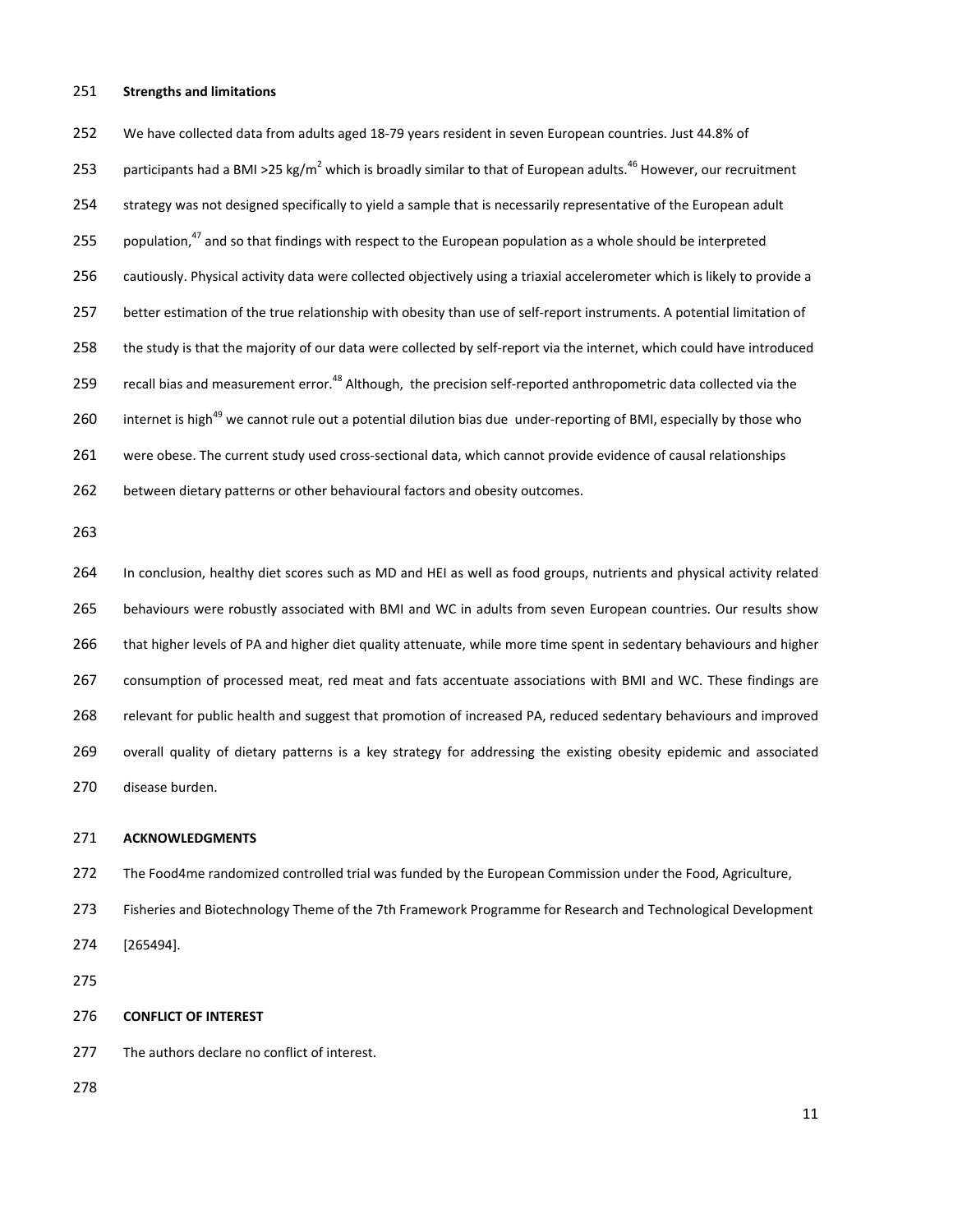#### 251 **Strengths and limitations**

252 We have collected data from adults aged 18-79 years resident in seven European countries. Just 44.8% of 253 participants had a BMI >25 kg/m<sup>2</sup> which is broadly similar to that of European adults.<sup>46</sup> However, our recruitment 254 strategy was not designed specifically to yield a sample that is necessarily representative of the European adult 255 population, $47$  and so that findings with respect to the European population as a whole should be interpreted 256 cautiously. Physical activity data were collected objectively using a triaxial accelerometer which is likely to provide a 257 better estimation of the true relationship with obesity than use of self-report instruments. A potential limitation of 258 the study is that the majority of our data were collected by self-report via the internet, which could have introduced 259 recall bias and measurement error.<sup>48</sup> Although, the precision self-reported anthropometric data collected via the 260 internet is high<sup>49</sup> we cannot rule out a potential dilution bias due under-reporting of BMI, especially by those who 261 were obese. The current study used cross-sectional data, which cannot provide evidence of causal relationships 262 between dietary patterns or other behavioural factors and obesity outcomes.

263

264 In conclusion, healthy diet scores such as MD and HEI as well as food groups, nutrients and physical activity related 265 behaviours were robustly associated with BMI and WC in adults from seven European countries. Our results show 266 that higher levels of PA and higher diet quality attenuate, while more time spent in sedentary behaviours and higher 267 consumption of processed meat, red meat and fats accentuate associations with BMI and WC. These findings are 268 relevant for public health and suggest that promotion of increased PA, reduced sedentary behaviours and improved 269 overall quality of dietary patterns is a key strategy for addressing the existing obesity epidemic and associated 270 disease burden.

#### 271 **ACKNOWLEDGMENTS**

272 The Food4me randomized controlled trial was funded by the European Commission under the Food, Agriculture,

273 Fisheries and Biotechnology Theme of the 7th Framework Programme for Research and Technological Development 274 [265494].

275

276 **CONFLICT OF INTEREST** 

277 The authors declare no conflict of interest.

278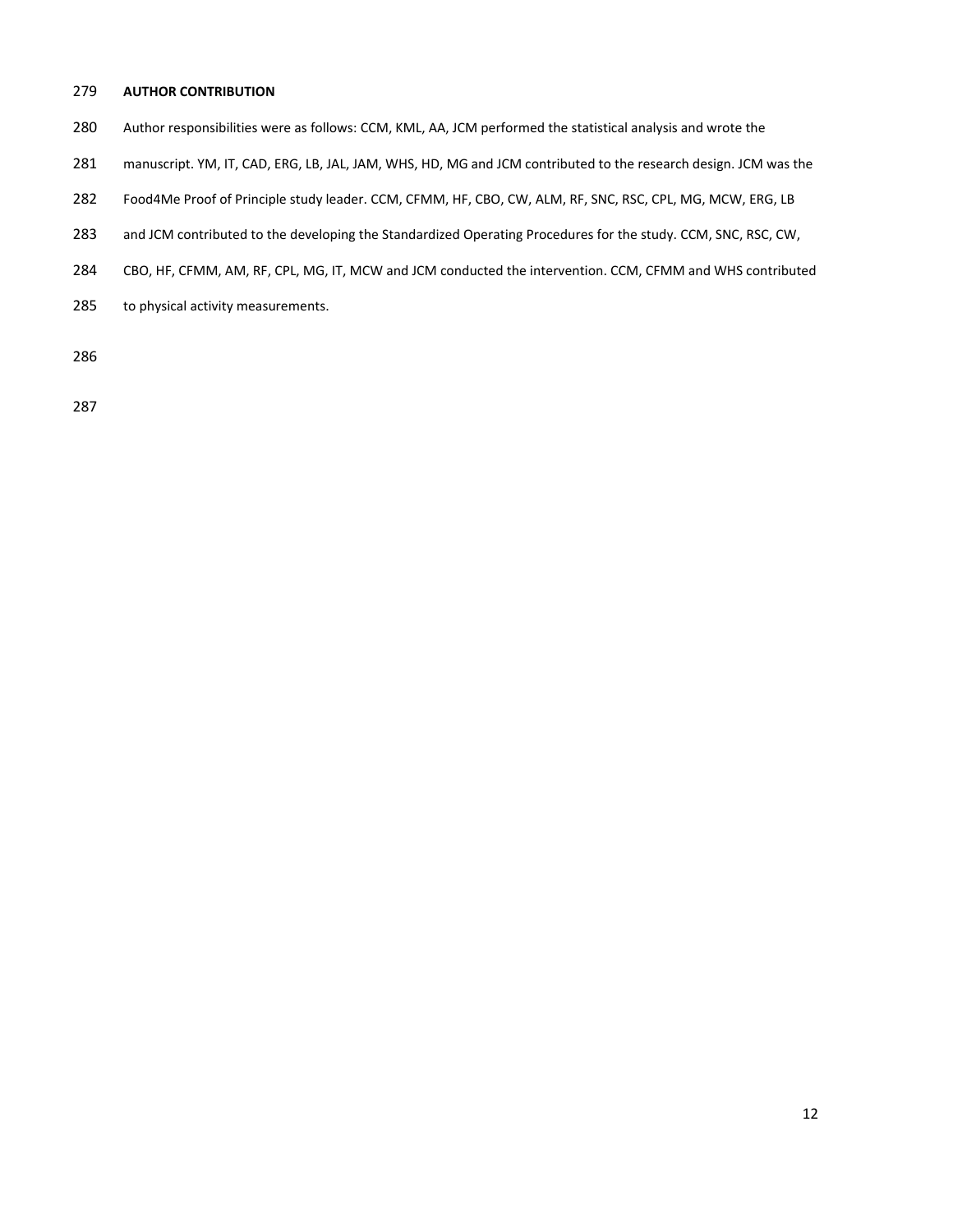### 279 **AUTHOR CONTRIBUTION**

- 280 Author responsibilities were as follows: CCM, KML, AA, JCM performed the statistical analysis and wrote the
- 281 manuscript. YM, IT, CAD, ERG, LB, JAL, JAM, WHS, HD, MG and JCM contributed to the research design. JCM was the
- 282 Food4Me Proof of Principle study leader. CCM, CFMM, HF, CBO, CW, ALM, RF, SNC, RSC, CPL, MG, MCW, ERG, LB
- 283 and JCM contributed to the developing the Standardized Operating Procedures for the study. CCM, SNC, RSC, CW,
- 284 CBO, HF, CFMM, AM, RF, CPL, MG, IT, MCW and JCM conducted the intervention. CCM, CFMM and WHS contributed
- 285 to physical activity measurements.

286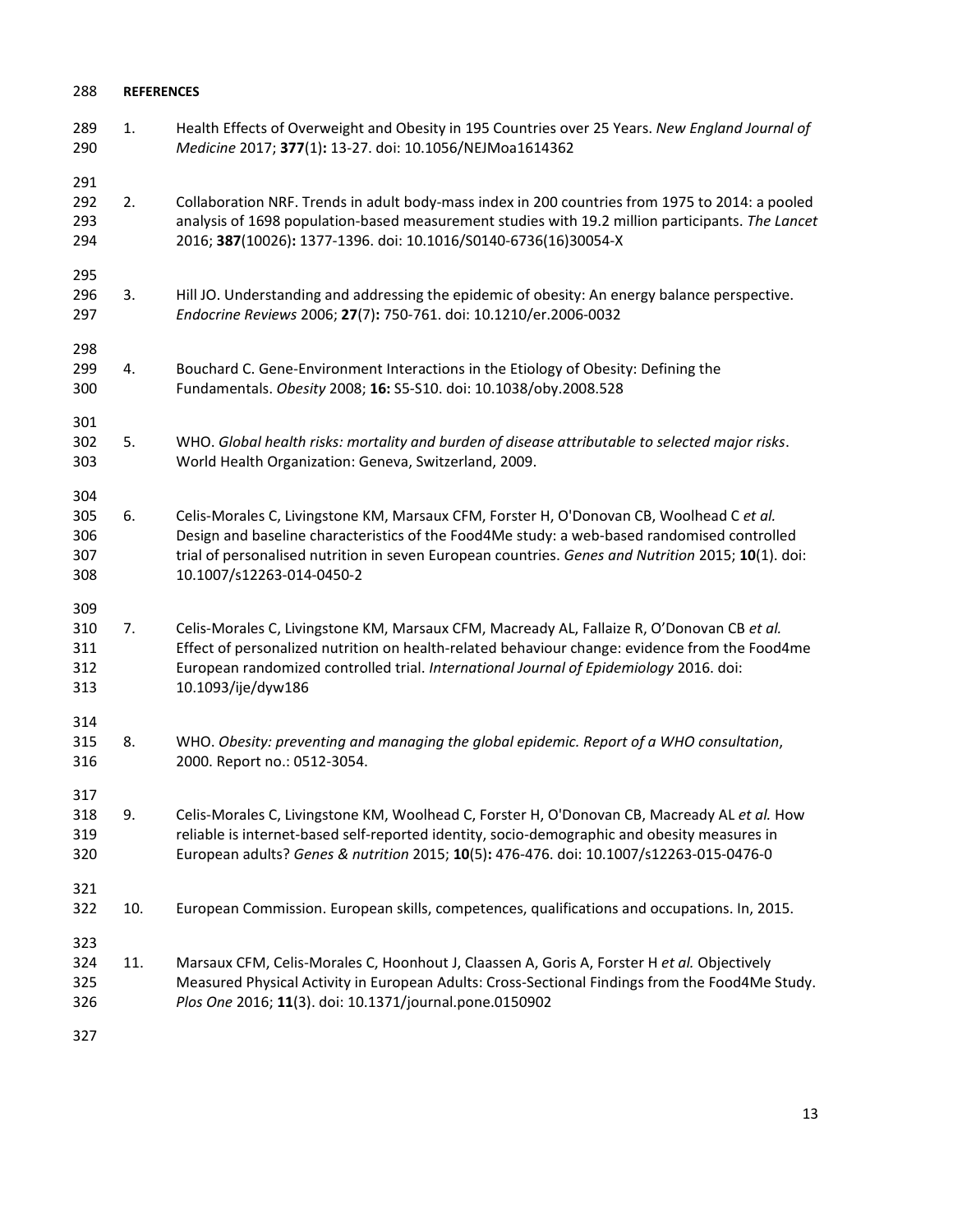| 288                             | <b>REFERENCES</b> |                                                                                                                                                                                                                                                                                                                            |  |  |  |
|---------------------------------|-------------------|----------------------------------------------------------------------------------------------------------------------------------------------------------------------------------------------------------------------------------------------------------------------------------------------------------------------------|--|--|--|
| 289<br>290                      | 1.                | Health Effects of Overweight and Obesity in 195 Countries over 25 Years. New England Journal of<br>Medicine 2017; 377(1): 13-27. doi: 10.1056/NEJMoa1614362                                                                                                                                                                |  |  |  |
| 291<br>292<br>293<br>294        | 2.                | Collaboration NRF. Trends in adult body-mass index in 200 countries from 1975 to 2014: a pooled<br>analysis of 1698 population-based measurement studies with 19.2 million participants. The Lancet<br>2016; 387(10026): 1377-1396. doi: 10.1016/S0140-6736(16)30054-X                                                     |  |  |  |
| 295<br>296<br>297               | 3.                | Hill JO. Understanding and addressing the epidemic of obesity: An energy balance perspective.<br>Endocrine Reviews 2006; 27(7): 750-761. doi: 10.1210/er.2006-0032                                                                                                                                                         |  |  |  |
| 298<br>299<br>300               | 4.                | Bouchard C. Gene-Environment Interactions in the Etiology of Obesity: Defining the<br>Fundamentals. Obesity 2008; 16: S5-S10. doi: 10.1038/oby.2008.528                                                                                                                                                                    |  |  |  |
| 301<br>302<br>303               | 5.                | WHO. Global health risks: mortality and burden of disease attributable to selected major risks.<br>World Health Organization: Geneva, Switzerland, 2009.                                                                                                                                                                   |  |  |  |
| 304<br>305<br>306<br>307<br>308 | 6.                | Celis-Morales C, Livingstone KM, Marsaux CFM, Forster H, O'Donovan CB, Woolhead C et al.<br>Design and baseline characteristics of the Food4Me study: a web-based randomised controlled<br>trial of personalised nutrition in seven European countries. Genes and Nutrition 2015; 10(1). doi:<br>10.1007/s12263-014-0450-2 |  |  |  |
| 309<br>310<br>311<br>312<br>313 | 7.                | Celis-Morales C, Livingstone KM, Marsaux CFM, Macready AL, Fallaize R, O'Donovan CB et al.<br>Effect of personalized nutrition on health-related behaviour change: evidence from the Food4me<br>European randomized controlled trial. International Journal of Epidemiology 2016. doi:<br>10.1093/ije/dyw186               |  |  |  |
| 314<br>315<br>316               | 8.                | WHO. Obesity: preventing and managing the global epidemic. Report of a WHO consultation,<br>2000. Report no.: 0512-3054.                                                                                                                                                                                                   |  |  |  |
| 317<br>318<br>319<br>320        | 9.                | Celis-Morales C, Livingstone KM, Woolhead C, Forster H, O'Donovan CB, Macready AL et al. How<br>reliable is internet-based self-reported identity, socio-demographic and obesity measures in<br>European adults? Genes & nutrition 2015; 10(5): 476-476. doi: 10.1007/s12263-015-0476-0                                    |  |  |  |
| 321<br>322                      | 10.               | European Commission. European skills, competences, qualifications and occupations. In, 2015.                                                                                                                                                                                                                               |  |  |  |
| 323<br>324<br>325<br>326        | 11.               | Marsaux CFM, Celis-Morales C, Hoonhout J, Claassen A, Goris A, Forster H et al. Objectively<br>Measured Physical Activity in European Adults: Cross-Sectional Findings from the Food4Me Study.<br>Plos One 2016; 11(3). doi: 10.1371/journal.pone.0150902                                                                  |  |  |  |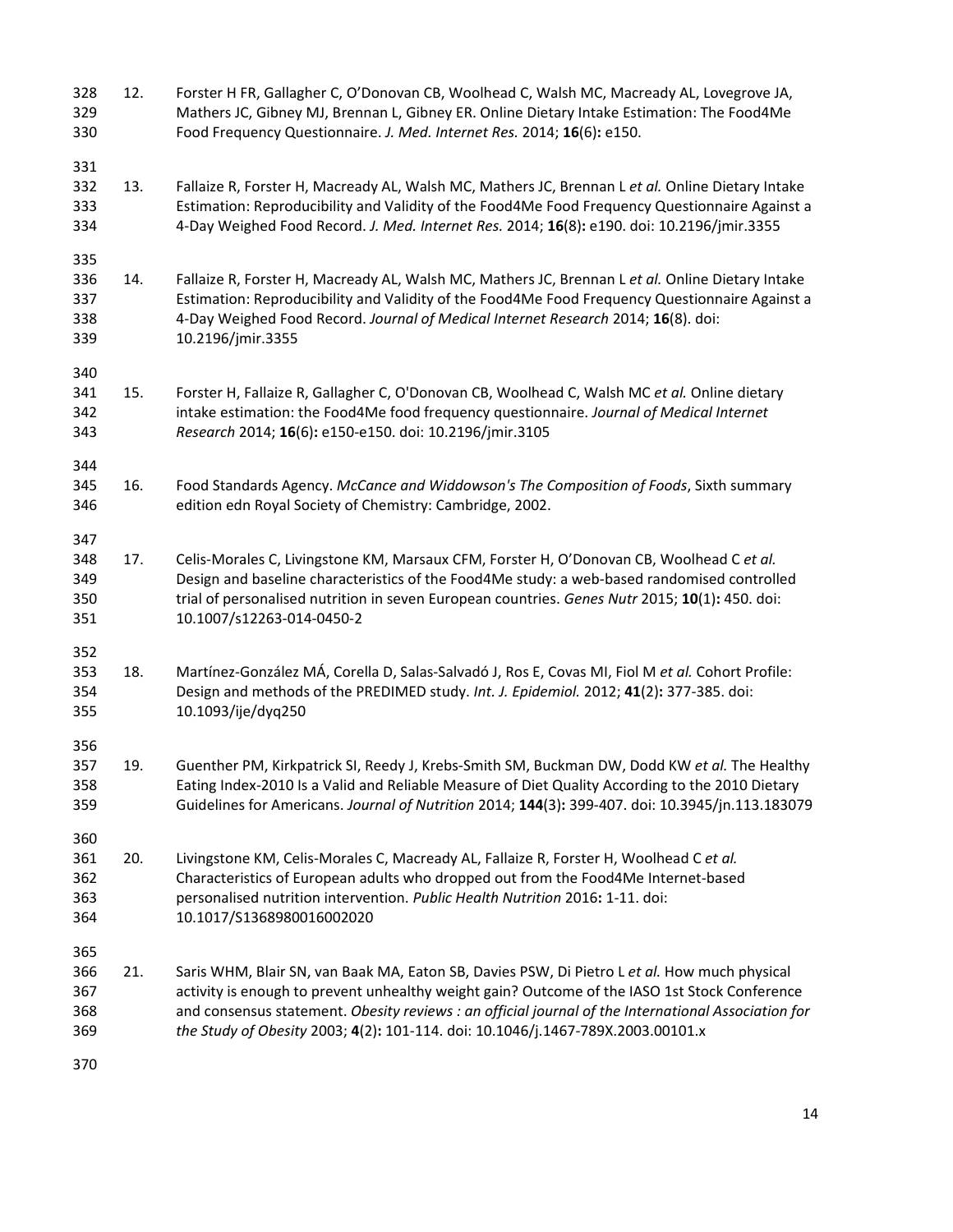| 328<br>329<br>330               | 12. | Forster H FR, Gallagher C, O'Donovan CB, Woolhead C, Walsh MC, Macready AL, Lovegrove JA,<br>Mathers JC, Gibney MJ, Brennan L, Gibney ER. Online Dietary Intake Estimation: The Food4Me<br>Food Frequency Questionnaire. J. Med. Internet Res. 2014; 16(6): e150.                                                                                                                       |
|---------------------------------|-----|-----------------------------------------------------------------------------------------------------------------------------------------------------------------------------------------------------------------------------------------------------------------------------------------------------------------------------------------------------------------------------------------|
| 331<br>332<br>333<br>334        | 13. | Fallaize R, Forster H, Macready AL, Walsh MC, Mathers JC, Brennan L et al. Online Dietary Intake<br>Estimation: Reproducibility and Validity of the Food4Me Food Frequency Questionnaire Against a<br>4-Day Weighed Food Record. J. Med. Internet Res. 2014; 16(8): e190. doi: 10.2196/jmir.3355                                                                                        |
| 335<br>336<br>337<br>338<br>339 | 14. | Fallaize R, Forster H, Macready AL, Walsh MC, Mathers JC, Brennan L et al. Online Dietary Intake<br>Estimation: Reproducibility and Validity of the Food4Me Food Frequency Questionnaire Against a<br>4-Day Weighed Food Record. Journal of Medical Internet Research 2014; 16(8). doi:<br>10.2196/jmir.3355                                                                            |
| 340<br>341<br>342<br>343        | 15. | Forster H, Fallaize R, Gallagher C, O'Donovan CB, Woolhead C, Walsh MC et al. Online dietary<br>intake estimation: the Food4Me food frequency questionnaire. Journal of Medical Internet<br>Research 2014; 16(6): e150-e150. doi: 10.2196/jmir.3105                                                                                                                                     |
| 344<br>345<br>346               | 16. | Food Standards Agency. McCance and Widdowson's The Composition of Foods, Sixth summary<br>edition edn Royal Society of Chemistry: Cambridge, 2002.                                                                                                                                                                                                                                      |
| 347<br>348<br>349<br>350<br>351 | 17. | Celis-Morales C, Livingstone KM, Marsaux CFM, Forster H, O'Donovan CB, Woolhead C et al.<br>Design and baseline characteristics of the Food4Me study: a web-based randomised controlled<br>trial of personalised nutrition in seven European countries. Genes Nutr 2015; 10(1): 450. doi:<br>10.1007/s12263-014-0450-2                                                                  |
| 352<br>353<br>354<br>355        | 18. | Martínez-González MÁ, Corella D, Salas-Salvadó J, Ros E, Covas MI, Fiol M et al. Cohort Profile:<br>Design and methods of the PREDIMED study. Int. J. Epidemiol. 2012; 41(2): 377-385. doi:<br>10.1093/ije/dyq250                                                                                                                                                                       |
| 356<br>357<br>358<br>359        | 19. | Guenther PM, Kirkpatrick SI, Reedy J, Krebs-Smith SM, Buckman DW, Dodd KW et al. The Healthy<br>Eating Index-2010 Is a Valid and Reliable Measure of Diet Quality According to the 2010 Dietary<br>Guidelines for Americans. Journal of Nutrition 2014; 144(3): 399-407. doi: 10.3945/jn.113.183079                                                                                     |
| 360<br>361<br>362<br>363<br>364 | 20. | Livingstone KM, Celis-Morales C, Macready AL, Fallaize R, Forster H, Woolhead C et al.<br>Characteristics of European adults who dropped out from the Food4Me Internet-based<br>personalised nutrition intervention. Public Health Nutrition 2016: 1-11. doi:<br>10.1017/S1368980016002020                                                                                              |
| 365<br>366<br>367<br>368<br>369 | 21. | Saris WHM, Blair SN, van Baak MA, Eaton SB, Davies PSW, Di Pietro L et al. How much physical<br>activity is enough to prevent unhealthy weight gain? Outcome of the IASO 1st Stock Conference<br>and consensus statement. Obesity reviews : an official journal of the International Association for<br>the Study of Obesity 2003; 4(2): 101-114. doi: 10.1046/j.1467-789X.2003.00101.x |
| 370                             |     |                                                                                                                                                                                                                                                                                                                                                                                         |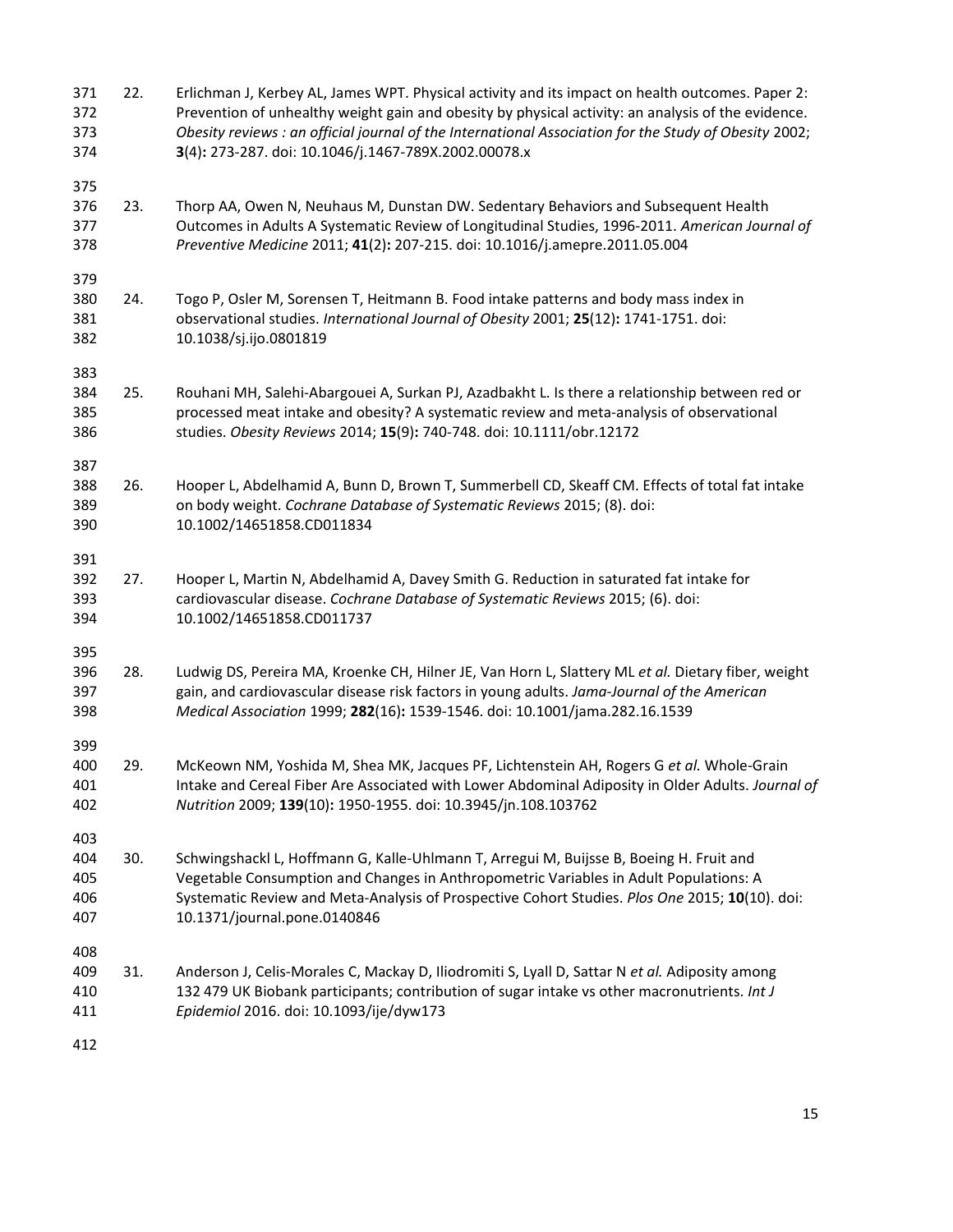| 371<br>372<br>373<br>374        | 22. | Erlichman J, Kerbey AL, James WPT. Physical activity and its impact on health outcomes. Paper 2:<br>Prevention of unhealthy weight gain and obesity by physical activity: an analysis of the evidence.<br>Obesity reviews : an official journal of the International Association for the Study of Obesity 2002;<br>3(4): 273-287. doi: 10.1046/j.1467-789X.2002.00078.x |
|---------------------------------|-----|-------------------------------------------------------------------------------------------------------------------------------------------------------------------------------------------------------------------------------------------------------------------------------------------------------------------------------------------------------------------------|
| 375<br>376<br>377<br>378        | 23. | Thorp AA, Owen N, Neuhaus M, Dunstan DW. Sedentary Behaviors and Subsequent Health<br>Outcomes in Adults A Systematic Review of Longitudinal Studies, 1996-2011. American Journal of<br>Preventive Medicine 2011; 41(2): 207-215. doi: 10.1016/j.amepre.2011.05.004                                                                                                     |
| 379<br>380<br>381<br>382        | 24. | Togo P, Osler M, Sorensen T, Heitmann B. Food intake patterns and body mass index in<br>observational studies. International Journal of Obesity 2001; 25(12): 1741-1751. doi:<br>10.1038/sj.ijo.0801819                                                                                                                                                                 |
| 383<br>384<br>385<br>386        | 25. | Rouhani MH, Salehi-Abargouei A, Surkan PJ, Azadbakht L. Is there a relationship between red or<br>processed meat intake and obesity? A systematic review and meta-analysis of observational<br>studies. Obesity Reviews 2014; 15(9): 740-748. doi: 10.1111/obr.12172                                                                                                    |
| 387<br>388<br>389<br>390        | 26. | Hooper L, Abdelhamid A, Bunn D, Brown T, Summerbell CD, Skeaff CM. Effects of total fat intake<br>on body weight. Cochrane Database of Systematic Reviews 2015; (8). doi:<br>10.1002/14651858.CD011834                                                                                                                                                                  |
| 391<br>392<br>393<br>394        | 27. | Hooper L, Martin N, Abdelhamid A, Davey Smith G. Reduction in saturated fat intake for<br>cardiovascular disease. Cochrane Database of Systematic Reviews 2015; (6). doi:<br>10.1002/14651858.CD011737                                                                                                                                                                  |
| 395<br>396<br>397<br>398        | 28. | Ludwig DS, Pereira MA, Kroenke CH, Hilner JE, Van Horn L, Slattery ML et al. Dietary fiber, weight<br>gain, and cardiovascular disease risk factors in young adults. Jama-Journal of the American<br>Medical Association 1999; 282(16): 1539-1546. doi: 10.1001/jama.282.16.1539                                                                                        |
| 399<br>400<br>401<br>402        | 29. | McKeown NM, Yoshida M, Shea MK, Jacques PF, Lichtenstein AH, Rogers G et al. Whole-Grain<br>Intake and Cereal Fiber Are Associated with Lower Abdominal Adiposity in Older Adults. Journal of<br>Nutrition 2009; 139(10): 1950-1955. doi: 10.3945/jn.108.103762                                                                                                         |
| 403<br>404<br>405<br>406<br>407 | 30. | Schwingshackl L, Hoffmann G, Kalle-Uhlmann T, Arregui M, Buijsse B, Boeing H. Fruit and<br>Vegetable Consumption and Changes in Anthropometric Variables in Adult Populations: A<br>Systematic Review and Meta-Analysis of Prospective Cohort Studies. Plos One 2015; 10(10). doi:<br>10.1371/journal.pone.0140846                                                      |
| 408<br>409<br>410<br>411        | 31. | Anderson J, Celis-Morales C, Mackay D, Iliodromiti S, Lyall D, Sattar N et al. Adiposity among<br>132 479 UK Biobank participants; contribution of sugar intake vs other macronutrients. Int J<br>Epidemiol 2016. doi: 10.1093/ije/dyw173                                                                                                                               |
| 412                             |     |                                                                                                                                                                                                                                                                                                                                                                         |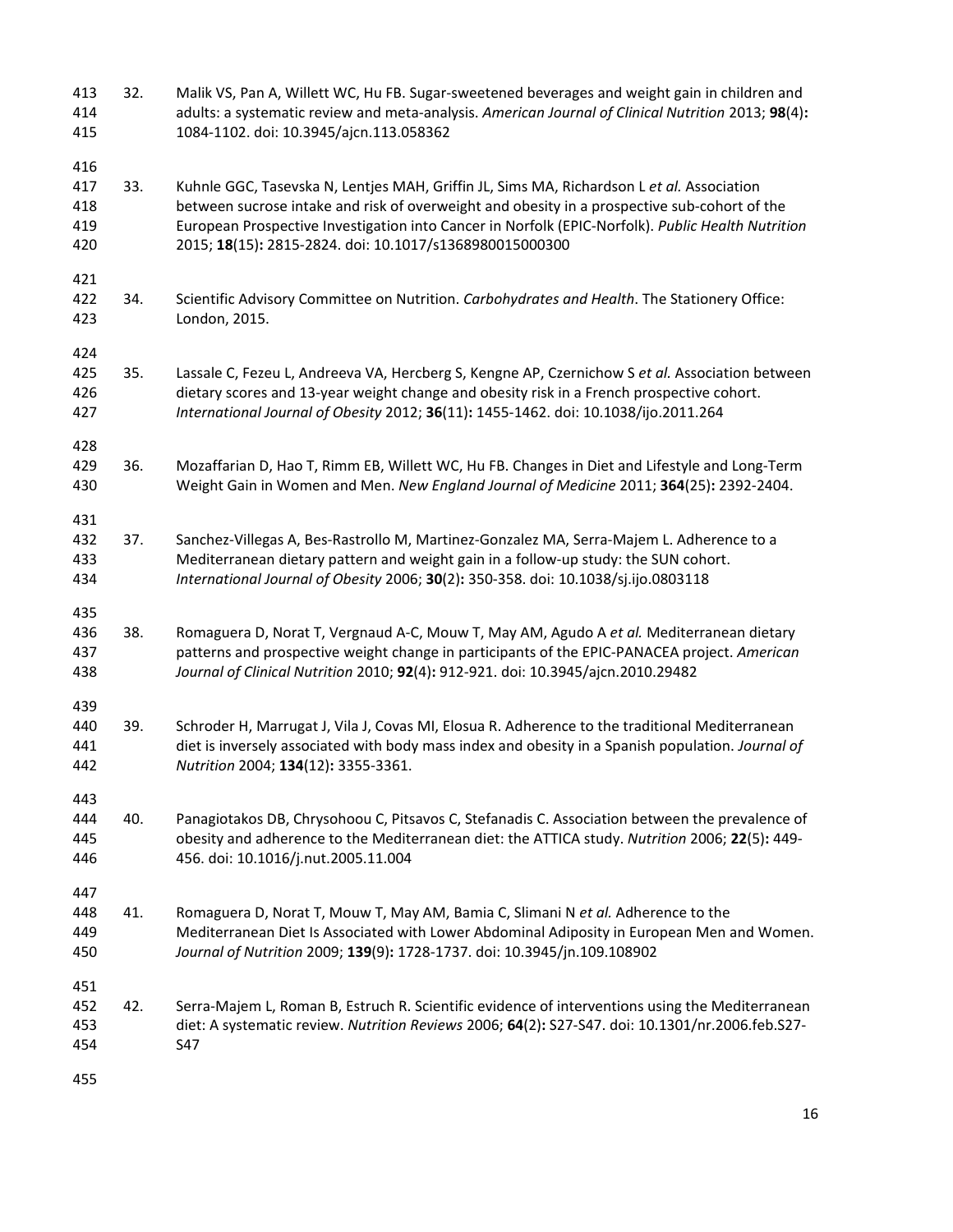| 413<br>414<br>415               | 32. | Malik VS, Pan A, Willett WC, Hu FB. Sugar-sweetened beverages and weight gain in children and<br>adults: a systematic review and meta-analysis. American Journal of Clinical Nutrition 2013; 98(4):<br>1084-1102. doi: 10.3945/ajcn.113.058362                                                                                                            |
|---------------------------------|-----|-----------------------------------------------------------------------------------------------------------------------------------------------------------------------------------------------------------------------------------------------------------------------------------------------------------------------------------------------------------|
| 416<br>417<br>418<br>419<br>420 | 33. | Kuhnle GGC, Tasevska N, Lentjes MAH, Griffin JL, Sims MA, Richardson L et al. Association<br>between sucrose intake and risk of overweight and obesity in a prospective sub-cohort of the<br>European Prospective Investigation into Cancer in Norfolk (EPIC-Norfolk). Public Health Nutrition<br>2015; 18(15): 2815-2824. doi: 10.1017/s1368980015000300 |
| 421<br>422<br>423               | 34. | Scientific Advisory Committee on Nutrition. Carbohydrates and Health. The Stationery Office:<br>London, 2015.                                                                                                                                                                                                                                             |
| 424<br>425<br>426<br>427        | 35. | Lassale C, Fezeu L, Andreeva VA, Hercberg S, Kengne AP, Czernichow S et al. Association between<br>dietary scores and 13-year weight change and obesity risk in a French prospective cohort.<br>International Journal of Obesity 2012; 36(11): 1455-1462. doi: 10.1038/ijo.2011.264                                                                       |
| 428<br>429<br>430               | 36. | Mozaffarian D, Hao T, Rimm EB, Willett WC, Hu FB. Changes in Diet and Lifestyle and Long-Term<br>Weight Gain in Women and Men. New England Journal of Medicine 2011; 364(25): 2392-2404.                                                                                                                                                                  |
| 431<br>432<br>433<br>434        | 37. | Sanchez-Villegas A, Bes-Rastrollo M, Martinez-Gonzalez MA, Serra-Majem L. Adherence to a<br>Mediterranean dietary pattern and weight gain in a follow-up study: the SUN cohort.<br>International Journal of Obesity 2006; 30(2): 350-358. doi: 10.1038/sj.ijo.0803118                                                                                     |
| 435<br>436<br>437<br>438        | 38. | Romaguera D, Norat T, Vergnaud A-C, Mouw T, May AM, Agudo A et al. Mediterranean dietary<br>patterns and prospective weight change in participants of the EPIC-PANACEA project. American<br>Journal of Clinical Nutrition 2010; 92(4): 912-921. doi: 10.3945/ajcn.2010.29482                                                                              |
| 439<br>440<br>441<br>442        | 39. | Schroder H, Marrugat J, Vila J, Covas MI, Elosua R. Adherence to the traditional Mediterranean<br>diet is inversely associated with body mass index and obesity in a Spanish population. Journal of<br>Nutrition 2004; 134(12): 3355-3361.                                                                                                                |
| 443<br>444<br>445<br>446        | 40. | Panagiotakos DB, Chrysohoou C, Pitsavos C, Stefanadis C. Association between the prevalence of<br>obesity and adherence to the Mediterranean diet: the ATTICA study. Nutrition 2006; 22(5): 449-<br>456. doi: 10.1016/j.nut.2005.11.004                                                                                                                   |
| 447<br>448<br>449<br>450        | 41. | Romaguera D, Norat T, Mouw T, May AM, Bamia C, Slimani N et al. Adherence to the<br>Mediterranean Diet Is Associated with Lower Abdominal Adiposity in European Men and Women.<br>Journal of Nutrition 2009; 139(9): 1728-1737. doi: 10.3945/jn.109.108902                                                                                                |
| 451<br>452<br>453<br>454        | 42. | Serra-Majem L, Roman B, Estruch R. Scientific evidence of interventions using the Mediterranean<br>diet: A systematic review. Nutrition Reviews 2006; 64(2): S27-S47. doi: 10.1301/nr.2006.feb.S27-<br>S47                                                                                                                                                |
| 455                             |     |                                                                                                                                                                                                                                                                                                                                                           |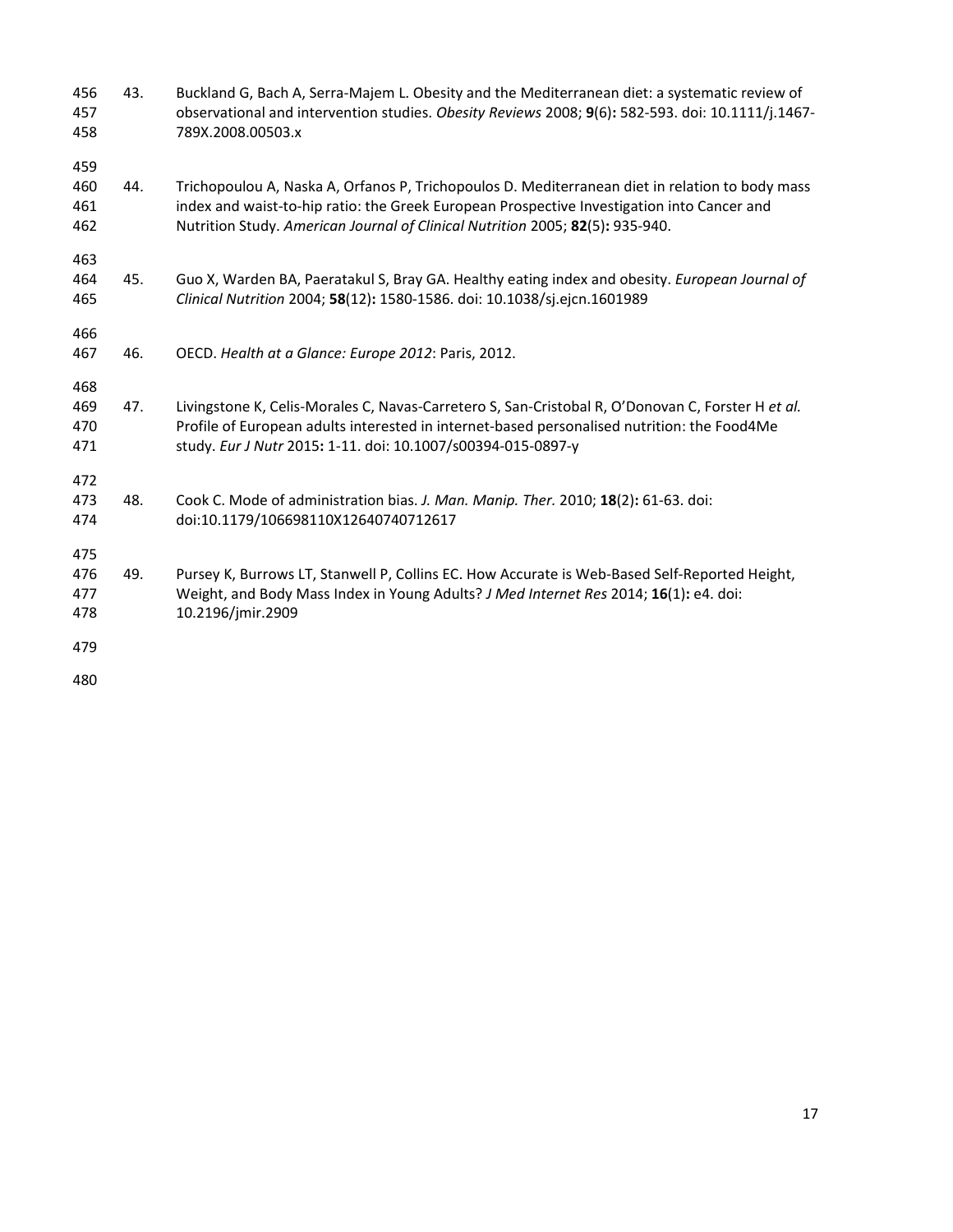- 456 43. Buckland G, Bach A, Serra-Majem L. Obesity and the Mediterranean diet: a systematic review of 457 observational and intervention studies. *Obesity Reviews* 2008; **9**(6)**:** 582-593. doi: 10.1111/j.1467- 458 789X.2008.00503.x 459 460 44. Trichopoulou A, Naska A, Orfanos P, Trichopoulos D. Mediterranean diet in relation to body mass 461 index and waist-to-hip ratio: the Greek European Prospective Investigation into Cancer and 462 Nutrition Study. *American Journal of Clinical Nutrition* 2005; **82**(5)**:** 935-940. 463 464 45. Guo X, Warden BA, Paeratakul S, Bray GA. Healthy eating index and obesity. *European Journal of*  465 *Clinical Nutrition* 2004; **58**(12)**:** 1580-1586. doi: 10.1038/sj.ejcn.1601989 466 467 46. OECD. *Health at a Glance: Europe 2012*: Paris, 2012. 468 469 47. Livingstone K, Celis-Morales C, Navas-Carretero S, San-Cristobal R, O'Donovan C, Forster H *et al.* 470 Profile of European adults interested in internet-based personalised nutrition: the Food4Me 471 study. *Eur J Nutr* 2015**:** 1-11. doi: 10.1007/s00394-015-0897-y 472 473 48. Cook C. Mode of administration bias. *J. Man. Manip. Ther.* 2010; **18**(2)**:** 61-63. doi: 474 doi:10.1179/106698110X12640740712617 475 476 49. Pursey K, Burrows LT, Stanwell P, Collins EC. How Accurate is Web-Based Self-Reported Height, 477 Weight, and Body Mass Index in Young Adults? *J Med Internet Res* 2014; **16**(1)**:** e4. doi: 478 10.2196/jmir.2909 479
- 480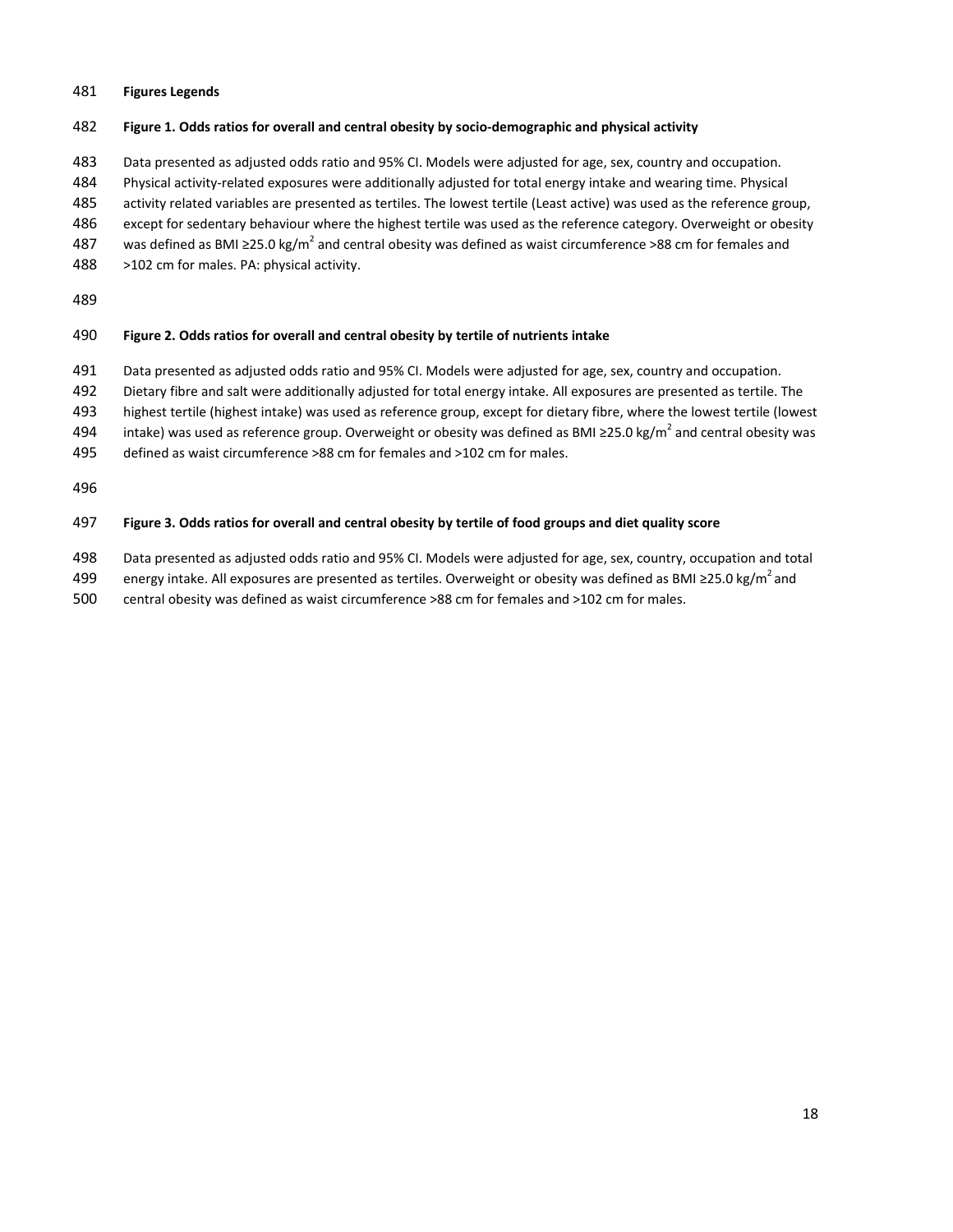### 481 **Figures Legends**

### 482 **Figure 1. Odds ratios for overall and central obesity by socio-demographic and physical activity**

483 Data presented as adjusted odds ratio and 95% CI. Models were adjusted for age, sex, country and occupation.

484 Physical activity-related exposures were additionally adjusted for total energy intake and wearing time. Physical

- 485 activity related variables are presented as tertiles. The lowest tertile (Least active) was used as the reference group,
- 486 except for sedentary behaviour where the highest tertile was used as the reference category. Overweight or obesity
- 487 was defined as BMI ≥25.0 kg/m<sup>2</sup> and central obesity was defined as waist circumference >88 cm for females and
- 488 >102 cm for males. PA: physical activity.

489

### 490 **Figure 2. Odds ratios for overall and central obesity by tertile of nutrients intake**

- 491 Data presented as adjusted odds ratio and 95% CI. Models were adjusted for age, sex, country and occupation.
- 492 Dietary fibre and salt were additionally adjusted for total energy intake. All exposures are presented as tertile. The
- 493 highest tertile (highest intake) was used as reference group, except for dietary fibre, where the lowest tertile (lowest
- 494 intake) was used as reference group. Overweight or obesity was defined as BMI ≥25.0 kg/m<sup>2</sup> and central obesity was
- 495 defined as waist circumference >88 cm for females and >102 cm for males.

496

## 497 **Figure 3. Odds ratios for overall and central obesity by tertile of food groups and diet quality score**

- 498 Data presented as adjusted odds ratio and 95% CI. Models were adjusted for age, sex, country, occupation and total
- 499 energy intake. All exposures are presented as tertiles. Overweight or obesity was defined as BMI ≥25.0 kg/m<sup>2</sup> and
- 500 central obesity was defined as waist circumference >88 cm for females and >102 cm for males.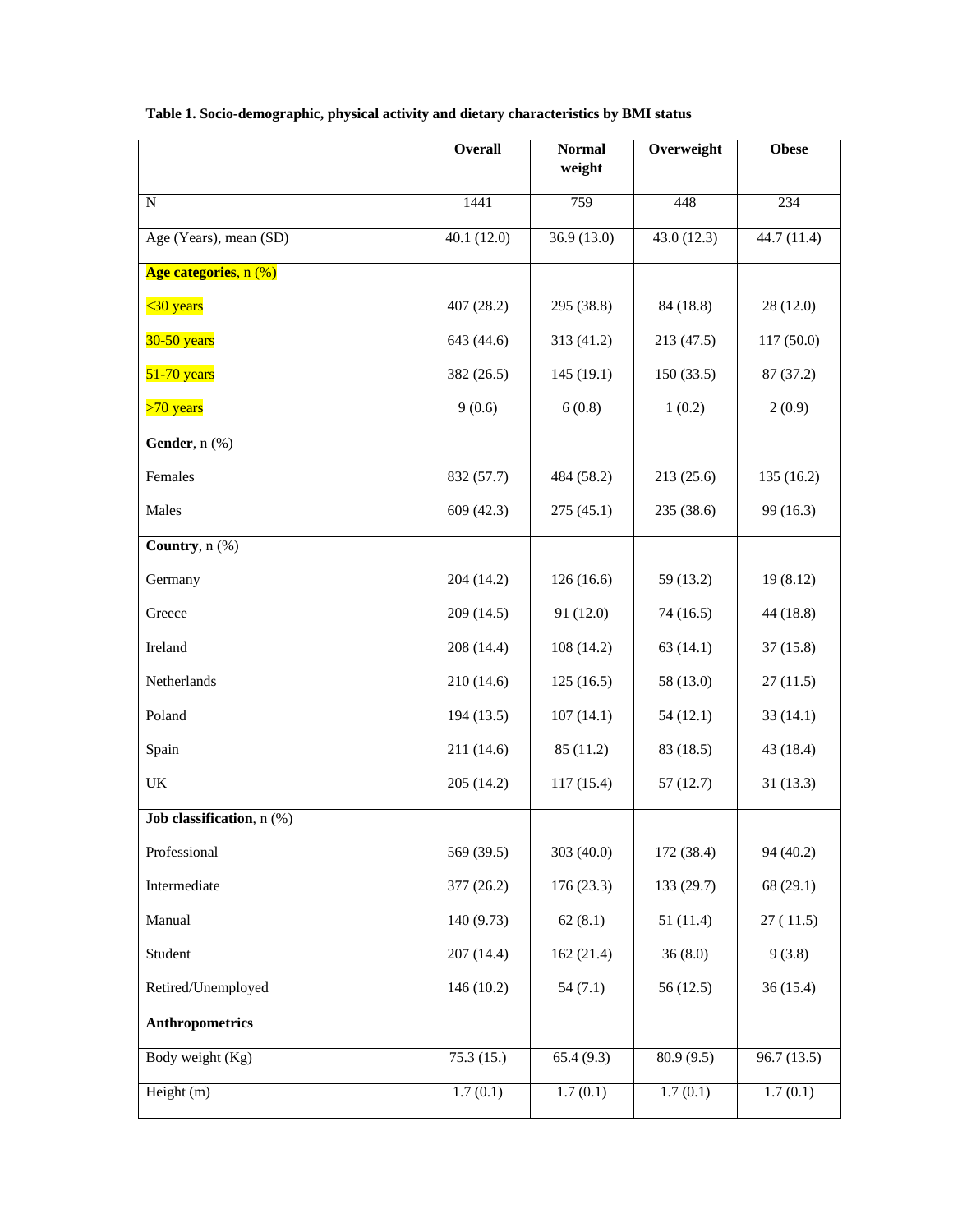|                           | <b>Overall</b> | <b>Normal</b><br>weight | Overweight | <b>Obese</b> |
|---------------------------|----------------|-------------------------|------------|--------------|
| ${\bf N}$                 | 1441           | 759                     | 448        | 234          |
| Age (Years), mean (SD)    | 40.1(12.0)     | 36.9 (13.0)             | 43.0(12.3) | 44.7 (11.4)  |
| Age categories, n (%)     |                |                         |            |              |
| $30 years$                | 407 (28.2)     | 295 (38.8)              | 84 (18.8)  | 28(12.0)     |
| $30-50$ years             | 643 (44.6)     | 313 (41.2)              | 213 (47.5) | 117(50.0)    |
| $51-70$ years             | 382 (26.5)     | 145(19.1)               | 150(33.5)  | 87 (37.2)    |
| $>70$ years               | 9(0.6)         | 6(0.8)                  | 1(0.2)     | 2(0.9)       |
| Gender, n (%)             |                |                         |            |              |
| Females                   | 832 (57.7)     | 484 (58.2)              | 213(25.6)  | 135(16.2)    |
| Males                     | 609 (42.3)     | 275(45.1)               | 235 (38.6) | 99 (16.3)    |
| Country, $n$ (%)          |                |                         |            |              |
| Germany                   | 204 (14.2)     | 126(16.6)               | 59 (13.2)  | 19(8.12)     |
| Greece                    | 209 (14.5)     | 91 (12.0)               | 74(16.5)   | 44 (18.8)    |
| Ireland                   | 208 (14.4)     | 108(14.2)               | 63(14.1)   | 37(15.8)     |
| Netherlands               | 210 (14.6)     | 125(16.5)               | 58 (13.0)  | 27(11.5)     |
| Poland                    | 194(13.5)      | 107(14.1)               | 54(12.1)   | 33(14.1)     |
| Spain                     | 211 (14.6)     | 85 (11.2)               | 83 (18.5)  | 43 (18.4)    |
| UK                        | 205 (14.2)     | 117(15.4)               | 57(12.7)   | 31(13.3)     |
| Job classification, n (%) |                |                         |            |              |
| Professional              | 569 (39.5)     | 303 (40.0)              | 172 (38.4) | 94 (40.2)    |
| Intermediate              | 377 (26.2)     | 176(23.3)               | 133 (29.7) | 68(29.1)     |
| Manual                    | 140 (9.73)     | 62(8.1)                 | 51(11.4)   | 27(11.5)     |
| Student                   | 207 (14.4)     | 162(21.4)               | 36(8.0)    | 9(3.8)       |
| Retired/Unemployed        | 146(10.2)      | 54(7.1)                 | 56(12.5)   | 36(15.4)     |
| <b>Anthropometrics</b>    |                |                         |            |              |
| Body weight (Kg)          | 75.3(15.)      | 65.4(9.3)               | 80.9(9.5)  | 96.7(13.5)   |
| Height (m)                | 1.7(0.1)       | 1.7(0.1)                | 1.7(0.1)   | 1.7(0.1)     |

# **Table 1. Socio-demographic, physical activity and dietary characteristics by BMI status**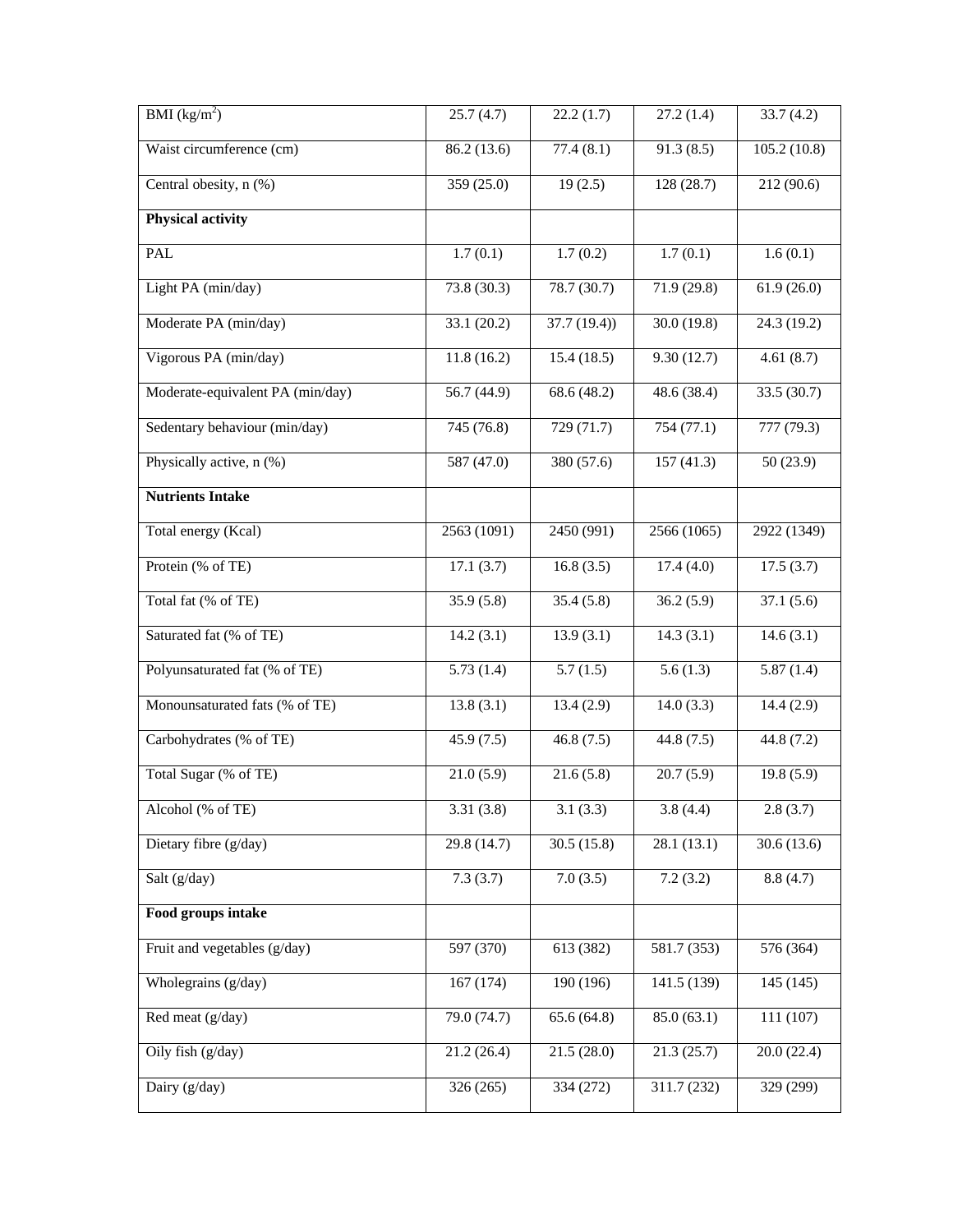| BMI $(kg/m^2)$                   | 25.7(4.7)   | 22.2(1.7)      | 27.2(1.4)   | 33.7(4.2)   |
|----------------------------------|-------------|----------------|-------------|-------------|
| Waist circumference (cm)         | 86.2(13.6)  | 77.4(8.1)      | 91.3(8.5)   | 105.2(10.8) |
| Central obesity, n (%)           | 359 (25.0)  | 19(2.5)        | 128 (28.7)  | 212 (90.6)  |
| <b>Physical activity</b>         |             |                |             |             |
| PAL                              | 1.7(0.1)    | 1.7(0.2)       | 1.7(0.1)    | 1.6(0.1)    |
| Light PA (min/day)               | 73.8(30.3)  | 78.7 (30.7)    | 71.9 (29.8) | 61.9(26.0)  |
| Moderate PA (min/day)            | 33.1 (20.2) | 37.7(19.4)     | 30.0 (19.8) | 24.3 (19.2) |
| Vigorous PA (min/day)            | 11.8(16.2)  | 15.4(18.5)     | 9.30(12.7)  | 4.61(8.7)   |
| Moderate-equivalent PA (min/day) | 56.7 (44.9) | $68.6\,(48.2)$ | 48.6 (38.4) | 33.5 (30.7) |
| Sedentary behaviour (min/day)    | 745 (76.8)  | 729 (71.7)     | 754 (77.1)  | 777 (79.3)  |
| Physically active, n (%)         | 587 (47.0)  | 380 (57.6)     | 157(41.3)   | 50(23.9)    |
| <b>Nutrients Intake</b>          |             |                |             |             |
| Total energy (Kcal)              | 2563 (1091) | 2450(991)      | 2566 (1065) | 2922 (1349) |
| Protein (% of TE)                | 17.1(3.7)   | 16.8(3.5)      | 17.4(4.0)   | 17.5(3.7)   |
| Total fat (% of TE)              | 35.9(5.8)   | 35.4(5.8)      | 36.2(5.9)   | 37.1(5.6)   |
| Saturated fat (% of TE)          | 14.2(3.1)   | 13.9(3.1)      | 14.3(3.1)   | 14.6(3.1)   |
| Polyunsaturated fat (% of TE)    | 5.73(1.4)   | 5.7(1.5)       | 5.6(1.3)    | 5.87(1.4)   |
| Monounsaturated fats (% of TE)   | 13.8(3.1)   | 13.4(2.9)      | 14.0(3.3)   | 14.4(2.9)   |
| Carbohydrates (% of TE)          | 45.9(7.5)   | 46.8(7.5)      | 44.8 (7.5)  | 44.8 (7.2)  |
| Total Sugar (% of TE)            | 21.0(5.9)   | 21.6(5.8)      | 20.7(5.9)   | 19.8(5.9)   |
| Alcohol (% of TE)                | 3.31(3.8)   | 3.1(3.3)       | 3.8(4.4)    | 2.8(3.7)    |
| Dietary fibre (g/day)            | 29.8 (14.7) | 30.5(15.8)     | 28.1(13.1)  | 30.6(13.6)  |
| Salt (g/day)                     | 7.3(3.7)    | 7.0(3.5)       | 7.2(3.2)    | 8.8(4.7)    |
| Food groups intake               |             |                |             |             |
| Fruit and vegetables (g/day)     | 597 (370)   | 613 (382)      | 581.7 (353) | 576 (364)   |
| Wholegrains (g/day)              | 167 (174)   | 190 (196)      | 141.5 (139) | 145 (145)   |
| Red meat (g/day)                 | 79.0 (74.7) | 65.6(64.8)     | 85.0(63.1)  | 111 (107)   |
| Oily fish (g/day)                | 21.2(26.4)  | 21.5(28.0)     | 21.3(25.7)  | 20.0(22.4)  |
| Dairy (g/day)                    | 326 (265)   | 334 (272)      | 311.7 (232) | 329 (299)   |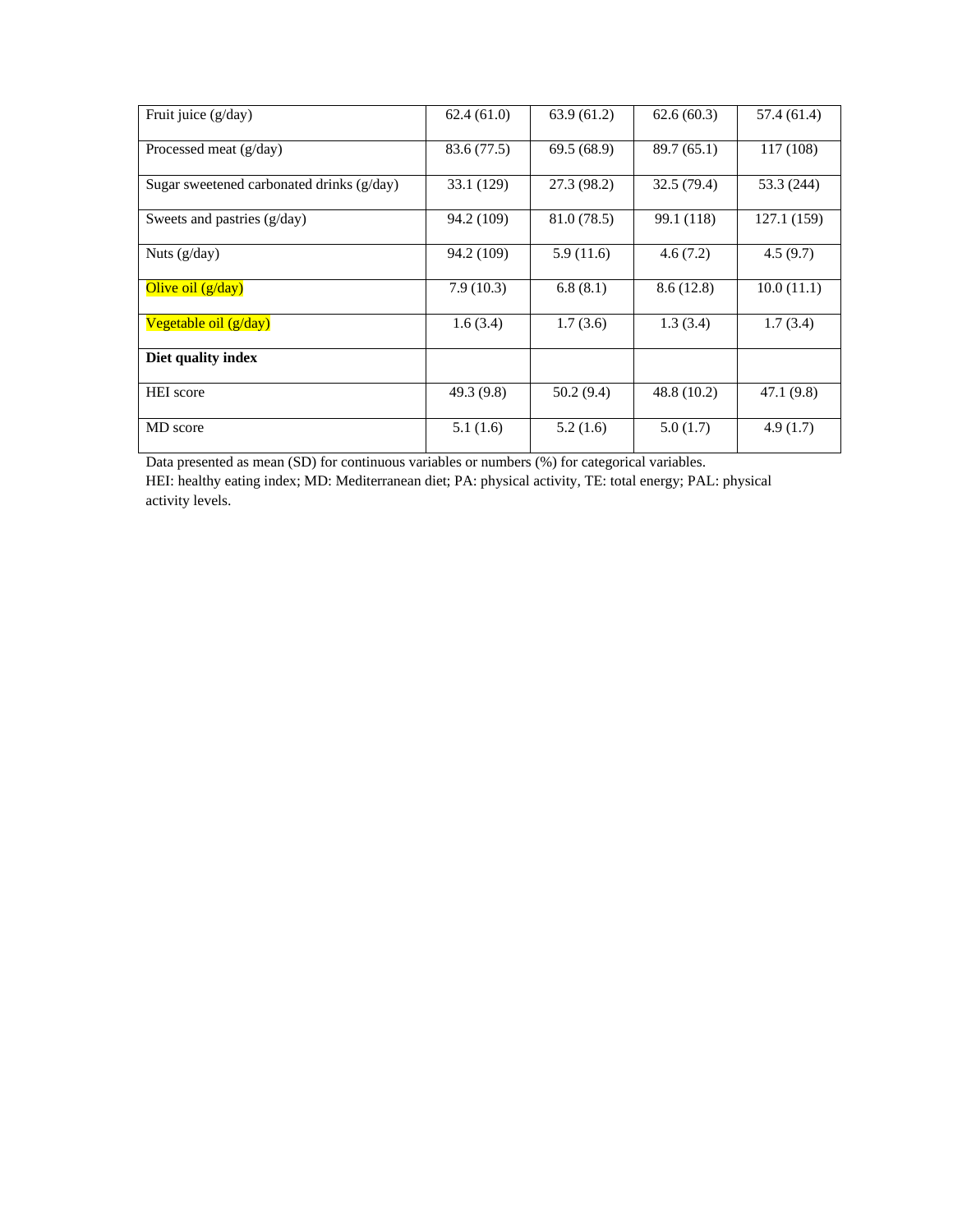| Fruit juice (g/day)                         | 62.4(61.0)  | 63.9(61.2)  | 62.6(60.3)  | 57.4 (61.4) |
|---------------------------------------------|-------------|-------------|-------------|-------------|
| Processed meat $(g/day)$                    | 83.6 (77.5) | 69.5(68.9)  | 89.7 (65.1) | 117 (108)   |
| Sugar sweetened carbonated drinks $(g/day)$ | 33.1 (129)  | 27.3 (98.2) | 32.5 (79.4) | 53.3 (244)  |
| Sweets and pastries (g/day)                 | 94.2 (109)  | 81.0 (78.5) | 99.1 (118)  | 127.1 (159) |
| Nuts $(g/day)$                              | 94.2 (109)  | 5.9(11.6)   | 4.6(7.2)    | 4.5(9.7)    |
| Olive oil $(g/day)$                         | 7.9(10.3)   | 6.8(8.1)    | 8.6(12.8)   | 10.0(11.1)  |
| Vegetable oil $(g/day)$                     | 1.6(3.4)    | 1.7(3.6)    | 1.3(3.4)    | 1.7(3.4)    |
| Diet quality index                          |             |             |             |             |
| <b>HEI</b> score                            | 49.3 (9.8)  | 50.2(9.4)   | 48.8 (10.2) | 47.1(9.8)   |
| MD score                                    | 5.1(1.6)    | 5.2(1.6)    | 5.0(1.7)    | 4.9(1.7)    |

Data presented as mean (SD) for continuous variables or numbers (%) for categorical variables.

HEI: healthy eating index; MD: Mediterranean diet; PA: physical activity, TE: total energy; PAL: physical activity levels.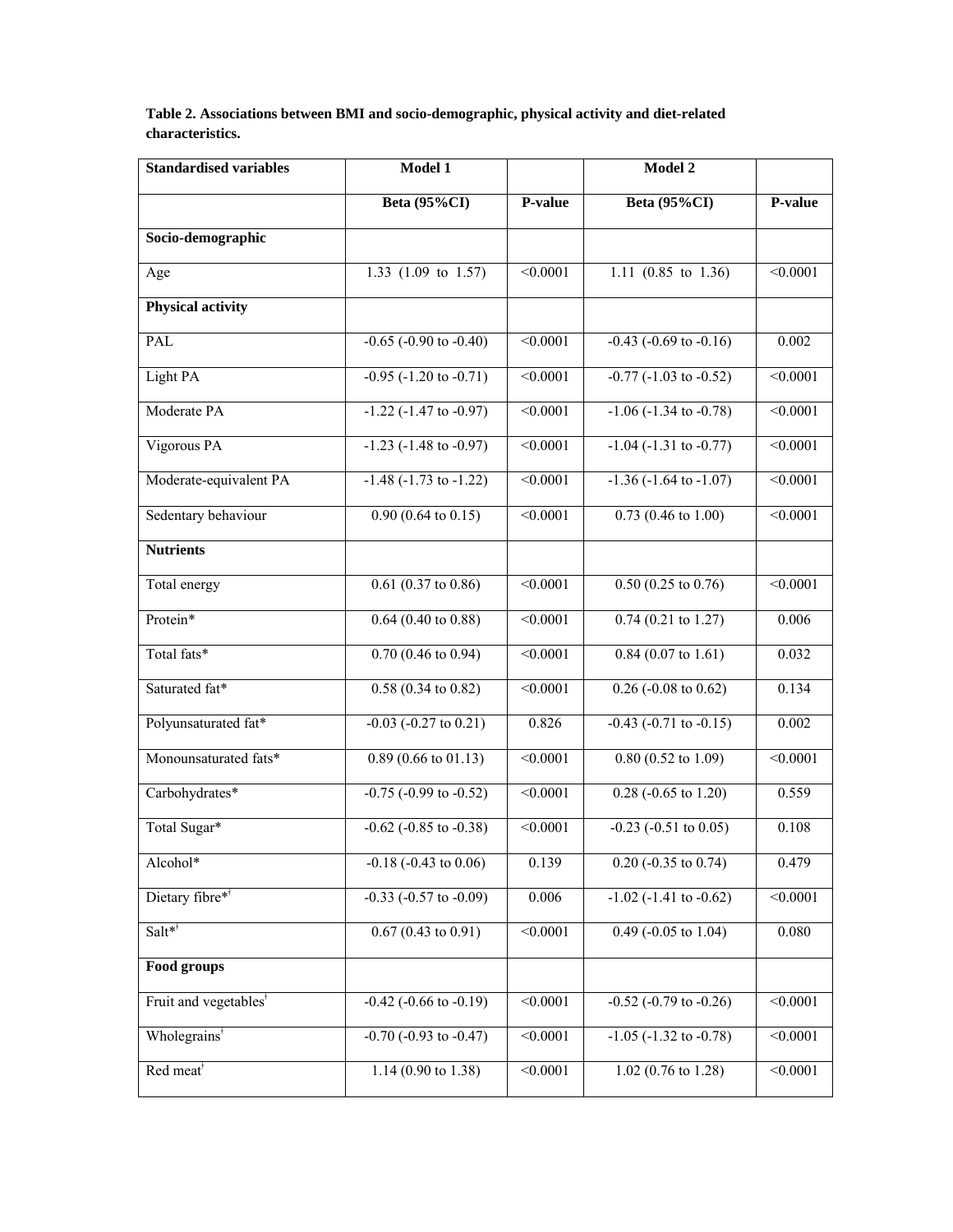**Table 2. Associations between BMI and socio-demographic, physical activity and diet-related characteristics.** 

| <b>Standardised variables</b>     | Model 1                           |               | Model 2                                   |                 |
|-----------------------------------|-----------------------------------|---------------|-------------------------------------------|-----------------|
|                                   | Beta (95%CI)                      | P-value       | <b>Beta (95%CI)</b>                       | P-value         |
| Socio-demographic                 |                                   |               |                                           |                 |
| Age                               | 1.33 (1.09 to 1.57)               | < 0.0001      | 1.11 (0.85 to 1.36)                       | < 0.0001        |
| <b>Physical activity</b>          |                                   |               |                                           |                 |
| PAL                               | $-0.65$ ( $-0.90$ to $-0.40$ )    | < 0.0001      | $-0.43$ ( $-0.69$ to $-0.16$ )            | 0.002           |
| Light PA                          | $-0.95 (-1.20 \text{ to } -0.71)$ | < 0.0001      | $-0.77$ $(-1.03$ to $-0.52)$              | $\sqrt{0.0001}$ |
| Moderate PA                       | $-1.22$ $(-1.47$ to $-0.97)$      | < 0.0001      | $-1.06$ $(-1.34$ to $-0.78)$              | < 0.0001        |
| Vigorous PA                       | $-1.23$ ( $-1.48$ to $-0.97$ )    | $\leq 0.0001$ | $-1.04$ ( $-1.31$ to $-0.77$ )            | $\leq 0.0001$   |
| Moderate-equivalent PA            | $-1.48$ $(-1.73$ to $-1.22)$      | < 0.0001      | $-1.36$ $(-1.64$ to $-1.07)$              | < 0.0001        |
| Sedentary behaviour               | $0.90(0.64 \text{ to } 0.15)$     | < 0.0001      | $0.73(0.46 \text{ to } 1.00)$             | < 0.0001        |
| <b>Nutrients</b>                  |                                   |               |                                           |                 |
| Total energy                      | $0.61$ (0.37 to 0.86)             | < 0.0001      | $0.50(0.25 \text{ to } 0.76)$             | < 0.0001        |
| Protein*                          | $0.64$ (0.40 to 0.88)             | < 0.0001      | $0.74(0.21 \text{ to } 1.27)$             | 0.006           |
| Total fats*                       | $0.70$ (0.46 to 0.94)             | < 0.0001      | $0.84(0.07 \text{ to } 1.61)$             | 0.032           |
| Saturated fat*                    | $0.58(0.34 \text{ to } 0.82)$     | < 0.0001      | $0.26$ (-0.08 to 0.62)                    | 0.134           |
| Polyunsaturated fat*              | $-0.03 (-0.27 \text{ to } 0.21)$  | 0.826         | $-0.43$ $(-0.71$ to $-0.15)$              | 0.002           |
| Monounsaturated fats*             | $0.89$ (0.66 to 01.13)            | < 0.0001      | $0.80$ $(0.52$ to $1.09)$                 | < 0.0001        |
| Carbohydrates*                    | $-0.75$ ( $-0.99$ to $-0.52$ )    | < 0.0001      | $0.28$ (-0.65 to 1.20)                    | 0.559           |
| Total Sugar*                      | $-0.62$ ( $-0.85$ to $-0.38$ )    | < 0.0001      | $-0.23$ $(-0.51$ to $0.05)$               | 0.108           |
| Alcohol*                          | $-0.18$ ( $-0.43$ to $0.06$ )     | 0.139         | $0.20$ (-0.35 to 0.74)                    | 0.479           |
| Dietary fibre**                   | $-0.33$ ( $-0.57$ to $-0.09$ )    | 0.006         | $-1.02$ ( $-1.41$ to $-\overline{0.62}$ ) | < 0.0001        |
| $Salt^*$                          | $0.67(0.43 \text{ to } 0.91)$     | < 0.0001      | $0.49$ (-0.05 to 1.04)                    | 0.080           |
| Food groups                       |                                   |               |                                           |                 |
| Fruit and vegetables <sup>†</sup> | $-0.42$ ( $-0.66$ to $-0.19$ )    | < 0.0001      | $-0.52$ ( $-0.79$ to $-0.26$ )            | < 0.0001        |
| Wholegrains <sup>*</sup>          | $-0.70$ $(-0.93$ to $-0.47)$      | < 0.0001      | $-1.05$ ( $-1.32$ to $-0.78$ )            | < 0.0001        |
| Red meat <sup>*</sup>             | 1.14 (0.90 to 1.38)               | < 0.0001      | $1.02$ (0.76 to 1.28)                     | < 0.0001        |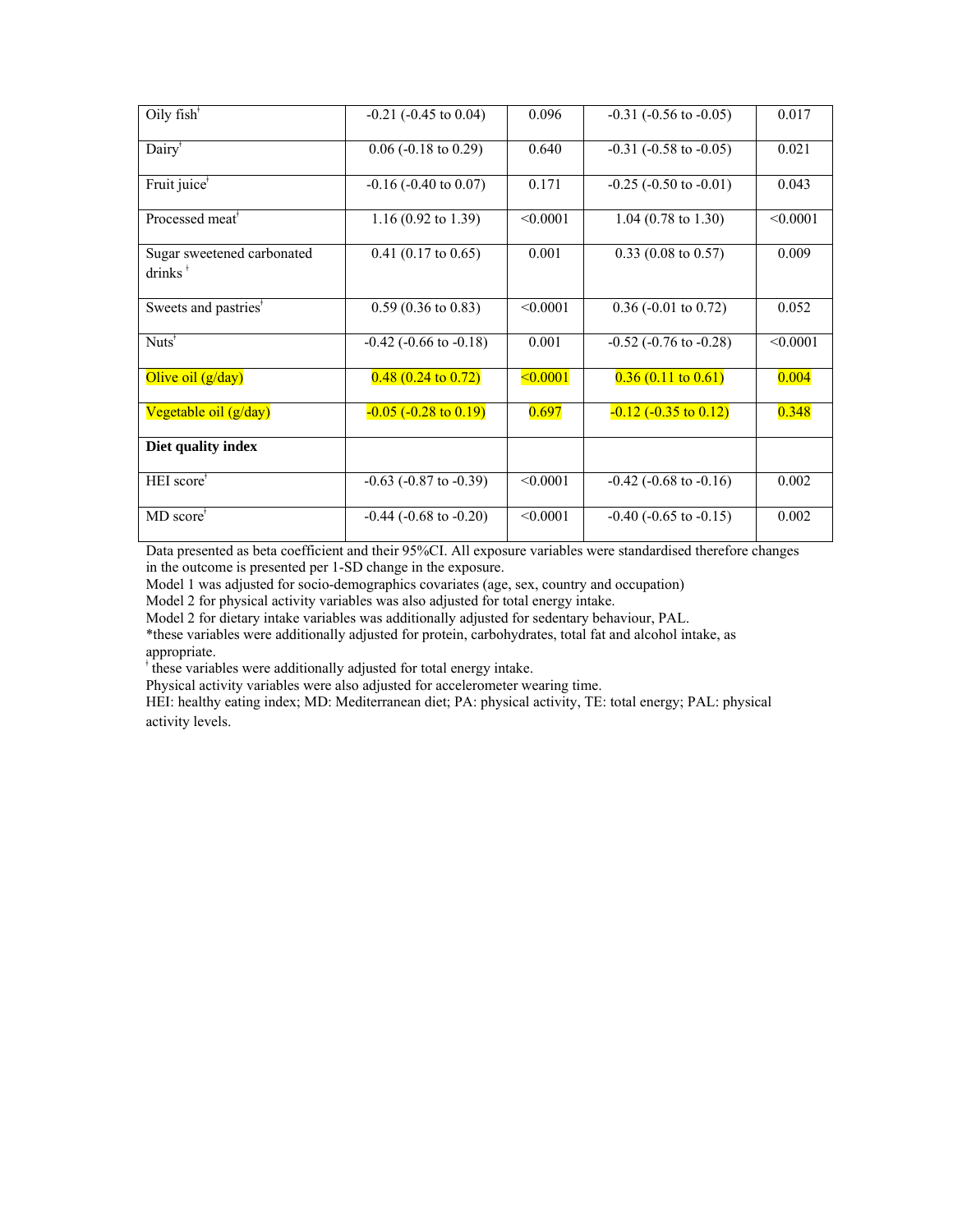| Oily $fish†$                                                           | $-0.21$ ( $-0.45$ to $0.04$ )  | 0.096         | $-0.31$ ( $-0.56$ to $-0.05$ ) | 0.017    |
|------------------------------------------------------------------------|--------------------------------|---------------|--------------------------------|----------|
| Dairy <sup>*</sup>                                                     | $0.06$ (-0.18 to 0.29)         | 0.640         | $-0.31$ ( $-0.58$ to $-0.05$ ) | 0.021    |
| Fruit juice <sup>*</sup>                                               | $-0.16$ ( $-0.40$ to $0.07$ )  | 0.171         | $-0.25$ ( $-0.50$ to $-0.01$ ) | 0.043    |
| Processed meat <sup>*</sup>                                            | 1.16 (0.92 to 1.39)            | < 0.0001      | $1.04$ (0.78 to 1.30)          | < 0.0001 |
| Sugar sweetened carbonated<br>$drinks$ <sup><math>\dagger</math></sup> | $0.41$ (0.17 to 0.65)          | 0.001         | $0.33$ (0.08 to 0.57)          | 0.009    |
| Sweets and pastries <sup>*</sup>                                       | $0.59(0.36 \text{ to } 0.83)$  | < 0.0001      | $0.36$ (-0.01 to 0.72)         | 0.052    |
| Nuts <sup>†</sup>                                                      | $-0.42$ ( $-0.66$ to $-0.18$ ) | 0.001         | $-0.52$ ( $-0.76$ to $-0.28$ ) | < 0.0001 |
| Olive oil $(g/day)$                                                    | $0.48(0.24 \text{ to } 0.72)$  | $\leq 0.0001$ | $0.36(0.11 \text{ to } 0.61)$  | 0.004    |
| Vegetable oil (g/day)                                                  | $-0.05$ ( $-0.28$ to 0.19)     | 0.697         | $-0.12$ $(-0.35$ to $0.12)$    | 0.348    |
| Diet quality index                                                     |                                |               |                                |          |
| HEI score <sup>+</sup>                                                 | $-0.63$ ( $-0.87$ to $-0.39$ ) | < 0.0001      | $-0.42$ ( $-0.68$ to $-0.16$ ) | 0.002    |
| $MD score^*$                                                           | $-0.44$ ( $-0.68$ to $-0.20$ ) | < 0.0001      | $-0.40$ ( $-0.65$ to $-0.15$ ) | 0.002    |

Data presented as beta coefficient and their 95%CI. All exposure variables were standardised therefore changes in the outcome is presented per 1-SD change in the exposure.

Model 1 was adjusted for socio-demographics covariates (age, sex, country and occupation)

Model 2 for physical activity variables was also adjusted for total energy intake.

Model 2 for dietary intake variables was additionally adjusted for sedentary behaviour, PAL.

\*these variables were additionally adjusted for protein, carbohydrates, total fat and alcohol intake, as appropriate.

ǂ these variables were additionally adjusted for total energy intake.

Physical activity variables were also adjusted for accelerometer wearing time.

HEI: healthy eating index; MD: Mediterranean diet; PA: physical activity, TE: total energy; PAL: physical activity levels.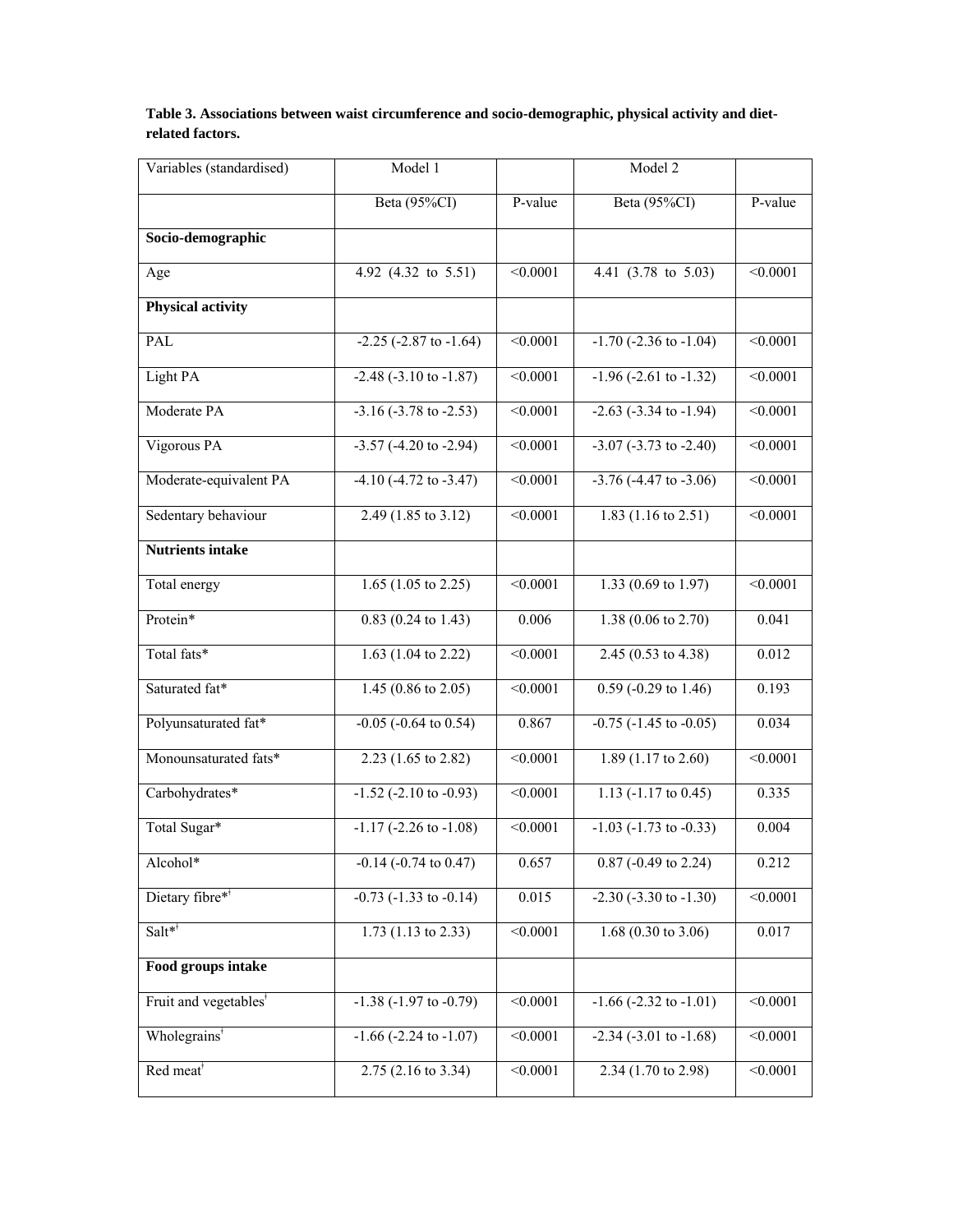| Table 3. Associations between waist circumference and socio-demographic, physical activity and diet- |  |
|------------------------------------------------------------------------------------------------------|--|
| related factors.                                                                                     |  |

| Variables (standardised)          | Model 1                             |                 | Model 2                        |                 |
|-----------------------------------|-------------------------------------|-----------------|--------------------------------|-----------------|
|                                   | Beta (95%CI)                        | P-value         | Beta (95%CI)                   | P-value         |
| Socio-demographic                 |                                     |                 |                                |                 |
| Age                               | 4.92 (4.32 to 5.51)                 | < 0.0001        | 4.41 (3.78 to 5.03)            | < 0.0001        |
| <b>Physical activity</b>          |                                     |                 |                                |                 |
| PAL                               | $-2.25$ ( $-2.87$ to $-1.64$ )      | < 0.0001        | $-1.70$ ( $-2.36$ to $-1.04$ ) | < 0.0001        |
| Light PA                          | $-2.48$ $(-3.10 \text{ to } -1.87)$ | $\sqrt{0.0001}$ | $-1.96 (-2.61 to -1.32)$       | $\sqrt{0.0001}$ |
| Moderate PA                       | $-3.16(-3.78 \text{ to } -2.53)$    | < 0.0001        | $-2.63$ $(-3.34$ to $-1.94)$   | < 0.0001        |
| Vigorous PA                       | $-3.57 (-4.20 \text{ to } -2.94)$   | < 0.0001        | $-3.07 (-3.73$ to $-2.40)$     | < 0.0001        |
| Moderate-equivalent PA            | $-4.10(-4.72 \text{ to } -3.47)$    | < 0.0001        | $-3.76$ $(-4.47$ to $-3.06$ )  | < 0.0001        |
| Sedentary behaviour               | 2.49 (1.85 to 3.12)                 | < 0.0001        | 1.83 $(1.16 \text{ to } 2.51)$ | < 0.0001        |
| <b>Nutrients intake</b>           |                                     |                 |                                |                 |
| Total energy                      | 1.65 (1.05 to 2.25)                 | < 0.0001        | 1.33 (0.69 to 1.97)            | < 0.0001        |
| Protein*                          | $0.83(0.24 \text{ to } 1.43)$       | 0.006           | $1.38(0.06 \text{ to } 2.70)$  | 0.041           |
| Total fats*                       | 1.63 (1.04 to 2.22)                 | < 0.0001        | $2.45(0.53 \text{ to } 4.38)$  | 0.012           |
| Saturated fat*                    | 1.45 (0.86 to 2.05)                 | < 0.0001        | $0.59$ (-0.29 to 1.46)         | 0.193           |
| Polyunsaturated fat*              | $-0.05$ $(-0.64 \text{ to } 0.54)$  | 0.867           | $-0.75$ ( $-1.45$ to $-0.05$ ) | 0.034           |
| Monounsaturated fats*             | 2.23 (1.65 to 2.82)                 | < 0.0001        | 1.89 (1.17 to 2.60)            | < 0.0001        |
| Carbohydrates*                    | $-1.52$ ( $-2.10$ to $-0.93$ )      | < 0.0001        | $1.13$ (-1.17 to 0.45)         | 0.335           |
| Total Sugar*                      | $-1.17$ $(-2.26$ to $-1.08)$        | $\leq 0.0001$   | $-1.03$ $(-1.73$ to $-0.33)$   | 0.004           |
| Alcohol*                          | $-0.14$ $(-0.74$ to $0.47)$         | 0.657           | $0.87$ (-0.49 to 2.24)         | 0.212           |
| Dietary fibre**                   | $-0.73$ ( $-1.33$ to $-0.14$ )      | 0.015           | $-2.30$ ( $-3.30$ to $-1.30$ ) | < 0.0001        |
| $Salt**$                          | 1.73 $(1.13 \text{ to } 2.33)$      | < 0.0001        | 1.68 $(0.30 \text{ to } 3.06)$ | 0.017           |
| Food groups intake                |                                     |                 |                                |                 |
| Fruit and vegetables <sup>*</sup> | $-1.38$ ( $-1.97$ to $-0.79$ )      | < 0.0001        | $-1.66$ ( $-2.32$ to $-1.01$ ) | < 0.0001        |
| Wholegrains <sup>*</sup>          | $-1.66$ $(-2.24$ to $-1.07)$        | < 0.0001        | $-2.34$ $(-3.01$ to $-1.68)$   | < 0.0001        |
| Red meat <sup>*</sup>             | 2.75 (2.16 to 3.34)                 | < 0.0001        | 2.34 (1.70 to 2.98)            | < 0.0001        |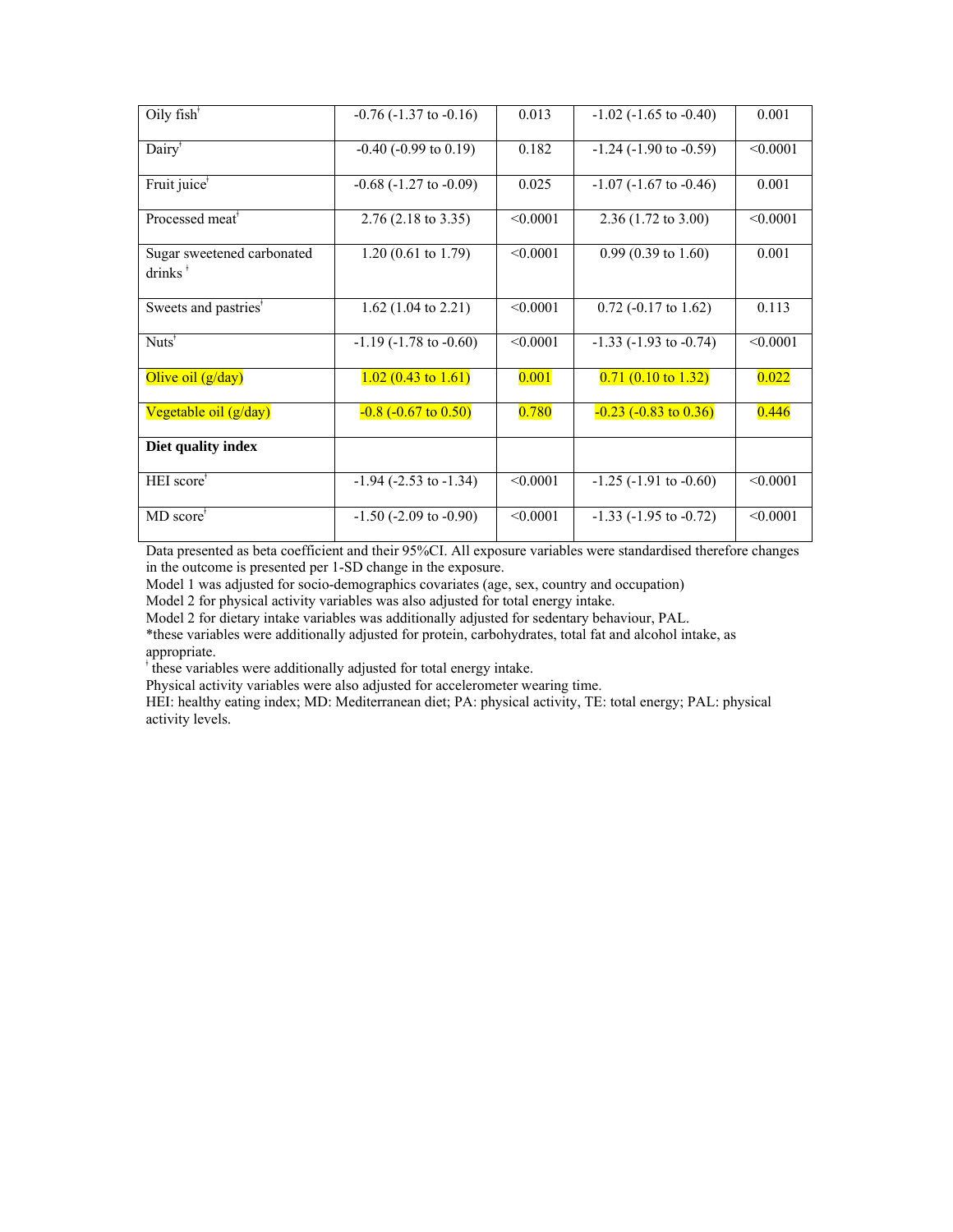| Oily $fish^*$                                                          | $-0.76$ ( $-1.37$ to $-0.16$ ) | 0.013    | $-1.02$ ( $-1.65$ to $-0.40$ ) | 0.001    |
|------------------------------------------------------------------------|--------------------------------|----------|--------------------------------|----------|
| Dairy <sup>*</sup>                                                     | $-0.40$ ( $-0.99$ to $0.19$ )  | 0.182    | $-1.24$ ( $-1.90$ to $-0.59$ ) | < 0.0001 |
| Fruit juice <sup>*</sup>                                               | $-0.68$ ( $-1.27$ to $-0.09$ ) | 0.025    | $-1.07$ ( $-1.67$ to $-0.46$ ) | 0.001    |
| Processed meat <sup>*</sup>                                            | $2.76(2.18 \text{ to } 3.35)$  | < 0.0001 | $2.36(1.72 \text{ to } 3.00)$  | < 0.0001 |
| Sugar sweetened carbonated<br>$drinks$ <sup><math>\dagger</math></sup> | $1.20(0.61 \text{ to } 1.79)$  | < 0.0001 | $0.99(0.39 \text{ to } 1.60)$  | 0.001    |
| Sweets and pastries <sup>*</sup>                                       | $1.62$ (1.04 to 2.21)          | < 0.0001 | $0.72$ (-0.17 to 1.62)         | 0.113    |
| $Nuts^{\bar{*}}$                                                       | $-1.19$ ( $-1.78$ to $-0.60$ ) | < 0.0001 | $-1.33$ ( $-1.93$ to $-0.74$ ) | < 0.0001 |
| Olive oil $(g/day)$                                                    | $1.02(0.43 \text{ to } 1.61)$  | 0.001    | $0.71(0.10 \text{ to } 1.32)$  | 0.022    |
| Vegetable oil (g/day)                                                  | $-0.8$ $(-0.67$ to $0.50)$     | 0.780    | $-0.23$ ( $-0.83$ to $0.36$ )  | 0.446    |
| Diet quality index                                                     |                                |          |                                |          |
| HEI score <sup>+</sup>                                                 | $-1.94$ ( $-2.53$ to $-1.34$ ) | < 0.0001 | $-1.25$ ( $-1.91$ to $-0.60$ ) | < 0.0001 |
| $MD score^*$                                                           | $-1.50$ ( $-2.09$ to $-0.90$ ) | < 0.0001 | $-1.33$ ( $-1.95$ to $-0.72$ ) | < 0.0001 |

Data presented as beta coefficient and their 95%CI. All exposure variables were standardised therefore changes in the outcome is presented per 1-SD change in the exposure.

Model 1 was adjusted for socio-demographics covariates (age, sex, country and occupation)

Model 2 for physical activity variables was also adjusted for total energy intake.

Model 2 for dietary intake variables was additionally adjusted for sedentary behaviour, PAL.

\*these variables were additionally adjusted for protein, carbohydrates, total fat and alcohol intake, as appropriate.

ǂ these variables were additionally adjusted for total energy intake.

Physical activity variables were also adjusted for accelerometer wearing time.

HEI: healthy eating index; MD: Mediterranean diet; PA: physical activity, TE: total energy; PAL: physical activity levels.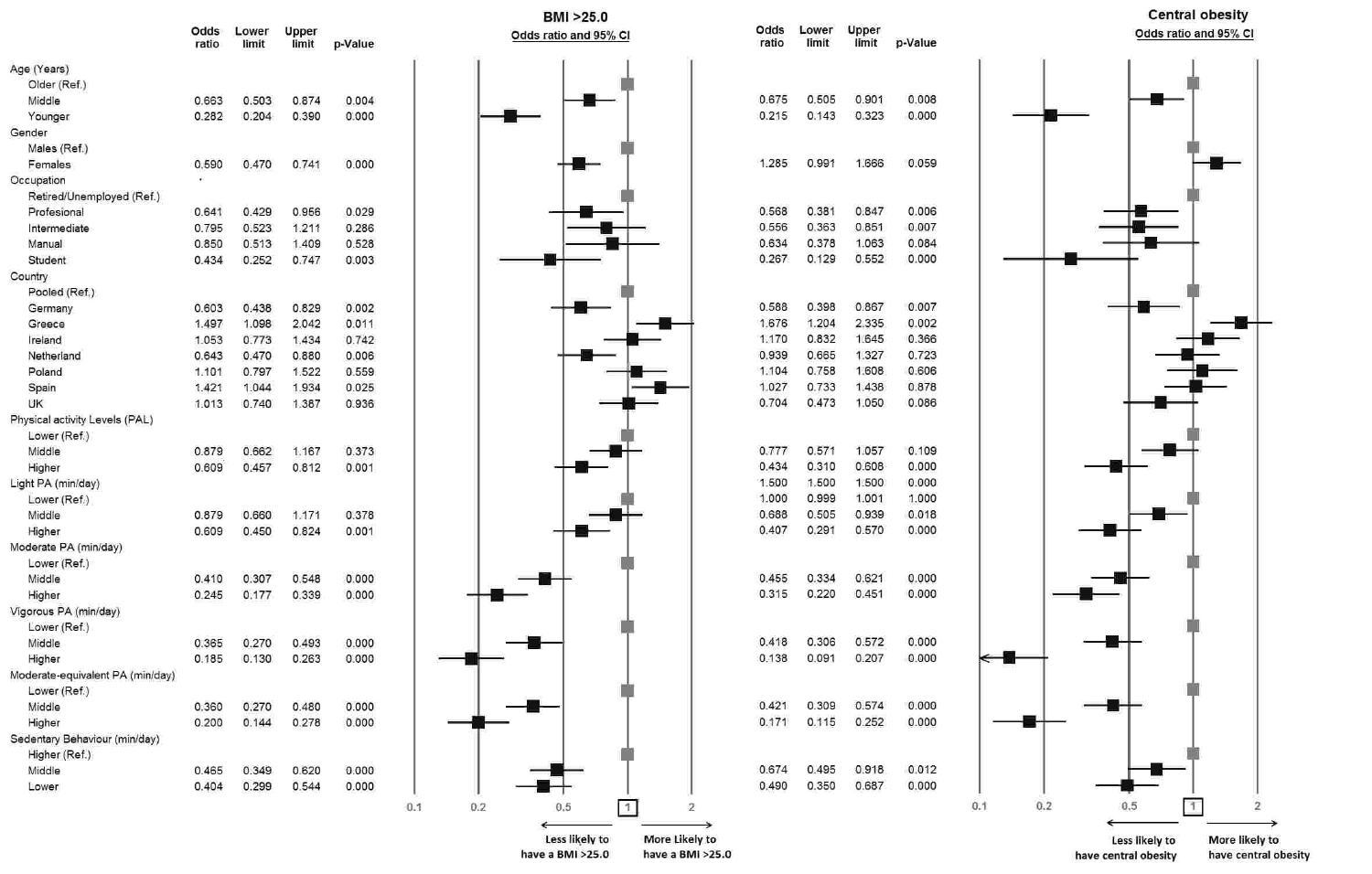|                                  | Odds<br>ratio | Lower<br>limit | Upper<br>limit | p-Value |     |     | $\overline{\mathbf{O}}$ |
|----------------------------------|---------------|----------------|----------------|---------|-----|-----|-------------------------|
| Age (Years)                      |               |                |                |         |     |     |                         |
| Older (Ref.)                     |               |                |                |         |     |     |                         |
| Middle                           | 0.663         | 0.503          | 0.874          | 0.004   |     |     |                         |
| Younger                          | 0.282         | 0.204          | 0.390          | 0.000   |     |     |                         |
| Gender                           |               |                |                |         |     |     |                         |
| Males (Ref.)                     |               |                |                |         |     |     |                         |
| Females                          | 0.590         | 0.470          | 0.741          | 0.000   |     |     |                         |
| Occupation                       | ij.           |                |                |         |     |     |                         |
| Retired/Unemployed (Ref.)        |               |                |                |         |     |     |                         |
| Profesional                      | 0.641         | 0.429          | 0.956          | 0.029   |     |     |                         |
| Intermediate                     | 0.795         | 0.523          | 1.211          | 0.286   |     |     |                         |
| Manual                           | 0.850         | 0.513          | 1.409          | 0.528   |     |     |                         |
| Student                          | 0.434         | 0.252          | 0.747          | 0.003   |     |     |                         |
| Country                          |               |                |                |         |     |     |                         |
| Pooled (Ref.)                    |               |                |                |         |     |     |                         |
| Germany                          | 0.603         | 0.438          | 0.829          | 0.002   |     |     |                         |
| Greece                           | 1.497         | 1.098          | 2.042          | 0.011   |     |     |                         |
| Ireland                          | 1.053         | 0.773          | 1.434          | 0.742   |     |     |                         |
| Netherland                       | 0.643         | 0.470          | 0.880          | 0.006   |     |     |                         |
| Poland                           | 1.101         | 0.797          | 1.522          | 0.559   |     |     |                         |
|                                  | 1.421         | 1.044          | 1.934          |         |     |     |                         |
| Spain                            |               |                |                | 0.025   |     |     |                         |
| UK                               | 1.013         | 0.740          | 1.387          | 0.936   |     |     |                         |
| Physical activity Levels (PAL)   |               |                |                |         |     |     |                         |
| Lower (Ref.)                     |               |                |                |         |     |     |                         |
| Middle                           | 0.879         | 0.662          | 1.167          | 0.373   |     |     |                         |
| Higher                           | 0.609         | 0.457          | 0.812          | 0.001   |     |     |                         |
| Light PA (min/day)               |               |                |                |         |     |     |                         |
| Lower (Ref.)                     |               |                |                |         |     |     |                         |
| Middle                           | 0.879         | 0.660          | 1.171          | 0.378   |     |     |                         |
| Higher                           | 0.609         | 0.450          | 0.824          | 0.001   |     |     |                         |
| Moderate PA (min/day)            |               |                |                |         |     |     |                         |
| Lower (Ref.)                     |               |                |                |         |     |     |                         |
| Middle                           | 0.410         | 0.307          | 0.548          | 0.000   |     |     |                         |
| Higher                           | 0.245         | 0.177          | 0.339          | 0.000   |     |     |                         |
| Vigorous PA (min/day)            |               |                |                |         |     |     |                         |
| Lower (Ref.)                     |               |                |                |         |     |     |                         |
| Middle                           | 0.365         | 0.270          | 0.493          | 0.000   |     |     |                         |
| Higher                           | 0.185         | 0.130          | 0.263          | 0.000   |     |     |                         |
| Moderate-equivalent PA (min/day) |               |                |                |         |     |     |                         |
| Lower (Ref.)                     |               |                |                |         |     |     |                         |
| Middle                           | 0.360         | 0.270          | 0.480          | 0.000   |     |     |                         |
| Higher                           | 0.200         | 0.144          | 0.278          | 0.000   |     |     |                         |
| Sedentary Behaviour (min/day)    |               |                |                |         |     |     |                         |
| Higher (Ref.)                    |               |                |                |         |     |     |                         |
| Middle                           | 0.465         | 0.349          | 0.620          | 0.000   |     |     |                         |
| Lower                            | 0.404         | 0.299          | 0.544          | 0.000   |     |     |                         |
|                                  |               |                |                |         | 0.1 | 0.2 |                         |

 $0.1$ 





↤

 $0.1$ 



have central obesity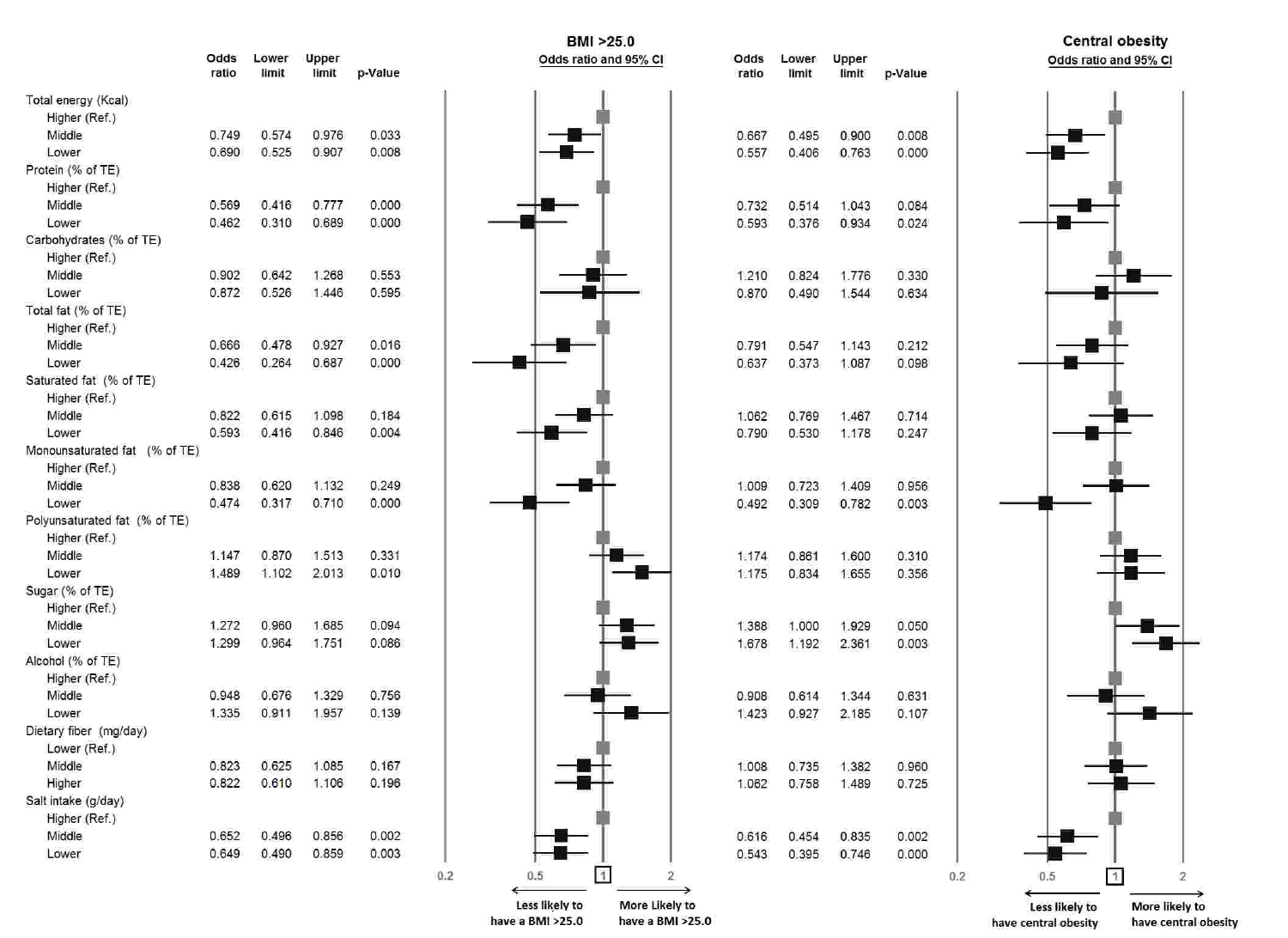|                                    | Odds<br>ratio | Lower<br>limit | Upper<br>limit | p-Value |
|------------------------------------|---------------|----------------|----------------|---------|
| Total energy (Kcal)                |               |                |                |         |
| Higher (Ref.)                      |               |                |                |         |
| Middle                             | 0.749         | 0.574          | 0.976          | 0.033   |
| Lower                              | 0.690         | 0.525          | 0.907          | 0.008   |
| Protein (% of TE)                  |               |                |                |         |
| Higher (Ref.)                      |               |                |                |         |
| Middle                             | 0.569         | 0.416          | 0.777          | 0.000   |
| Lower                              | 0.462         | 0.310          | 0.689          | 0.000   |
| Carbohydrates (% of TE)            |               |                |                |         |
| Higher (Ref.)                      |               |                |                |         |
| Middle                             | 0.902         | 0.642          | 1.268          | 0.553   |
| Lower                              | 0.872         | 0.526          | 1.446          | 0.595   |
| Total fat (% of TE)                |               |                |                |         |
|                                    |               |                |                |         |
| Higher (Ref.)<br>Middle            | 0.666         | 0.478          | 0.927          | 0.016   |
|                                    |               |                |                |         |
| Lower                              | 0.426         | 0.264          | 0.687          | 0.000   |
| Saturated fat (% of TE)            |               |                |                |         |
| Higher (Ref.)                      |               |                |                |         |
| Middle                             | 0.822         | 0.615          | 1.098          | 0.184   |
| Lower                              | 0.593         | 0.416          | 0.846          | 0.004   |
| Monounsaturated fat<br>$(%$ of TE) |               |                |                |         |
| Higher (Ref.)                      |               |                |                |         |
| Middle                             | 0.838         | 0.620          | 1.132          | 0.249   |
| Lower                              | 0.474         | 0.317          | 0.710          | 0.000   |
| Polyunsaturated fat (% of TE)      |               |                |                |         |
| Higher (Ref.)                      |               |                |                |         |
| Middle                             | 1.147         | 0.870          | 1.513          | 0.331   |
| Lower                              | 1.489         | 1.102          | 2.013          | 0.010   |
| Sugar (% of TE)                    |               |                |                |         |
| Higher (Ref.)                      |               |                |                |         |
| Middle                             | 1.272         | 0.960          | 1.685          | 0.094   |
| Lower                              | 1.299         | 0.964          | 1.751          | 0.086   |
| Alcohol (% of TE)                  |               |                |                |         |
| Higher (Ref.)                      |               |                |                |         |
| Middle                             | 0.948         | 0.676          | 1.329          | 0.756   |
| Lower                              | 1.335         | 0.911          | 1.957          | 0.139   |
| Dietary fiber (mg/day)             |               |                |                |         |
| Lower (Ref.)                       |               |                |                |         |
| Middle                             | 0.823         | 0.625          | 1.085          | 0.167   |
| Higher                             | 0.822         | 0.610          | 1.106          | 0.196   |
| Salt intake (g/day)                |               |                |                |         |
| Higher (Ref.)                      |               |                |                |         |
| Middle                             | 0.652         | 0.496          | 0.856          | 0.002   |
| Lower                              | 0.649         | 0.490          | 0.859          | 0.003   |
|                                    |               |                |                |         |



 $0.2$